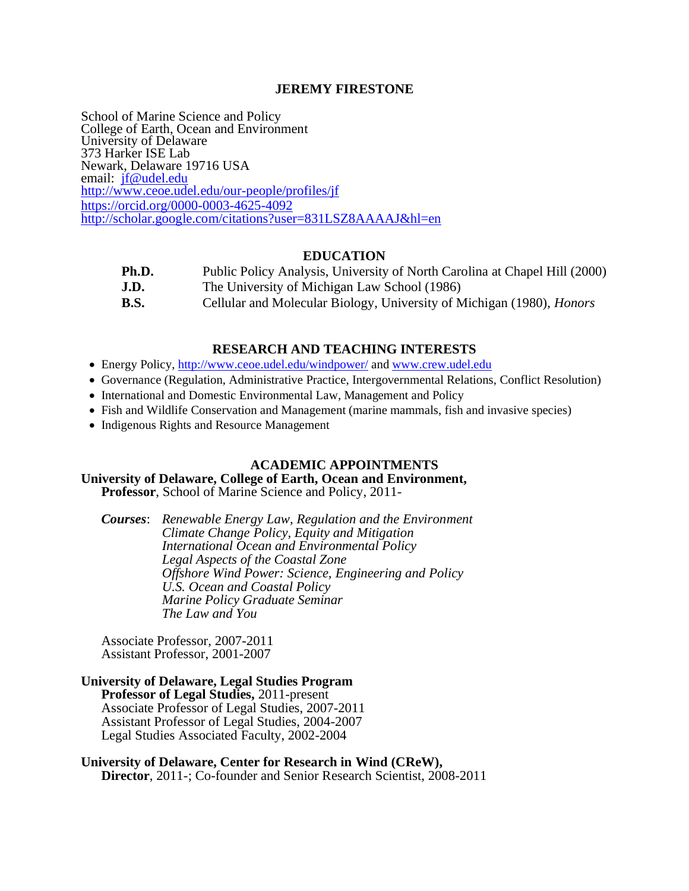## **JEREMY FIRESTONE**

School of Marine Science and Policy College of Earth, Ocean and Environment University of Delaware 373 Harker ISE Lab Newark, Delaware 19716 USA email: if@udel.edu <http://www.ceoe.udel.edu/our-people/profiles/jf> <https://orcid.org/0000-0003-4625-4092> <http://scholar.google.com/citations?user=831LSZ8AAAAJ&hl=en> Ī

### **EDUCATION**

| Ph.D. | Public Policy Analysis, University of North Carolina at Chapel Hill (2000)   |
|-------|------------------------------------------------------------------------------|
| J.D.  | The University of Michigan Law School (1986)                                 |
| B.S.  | Cellular and Molecular Biology, University of Michigan (1980), <i>Honors</i> |

## **RESEARCH AND TEACHING INTERESTS**

- Energy Policy,<http://www.ceoe.udel.edu/windpower/> an[d www.crew.udel.edu](http://www.crew.udel.edu/)
- Governance (Regulation, Administrative Practice, Intergovernmental Relations, Conflict Resolution)
- International and Domestic Environmental Law, Management and Policy
- Fish and Wildlife Conservation and Management (marine mammals, fish and invasive species)
- Indigenous Rights and Resource Management

## **ACADEMIC APPOINTMENTS**

## **University of Delaware, College of Earth, Ocean and Environment,**

**Professor**, School of Marine Science and Policy, 2011-

*Courses*: *Renewable Energy Law, Regulation and the Environment Climate Change Policy, Equity and Mitigation International Ocean and Environmental Policy Legal Aspects of the Coastal Zone Offshore Wind Power: Science, Engineering and Policy U.S. Ocean and Coastal Policy Marine Policy Graduate Seminar The Law and You*

Associate Professor, 2007-2011 Assistant Professor, 2001-2007

### **University of Delaware, Legal Studies Program Professor of Legal Studies,** 2011-present Associate Professor of Legal Studies, 2007-2011 Assistant Professor of Legal Studies, 2004-2007 Legal Studies Associated Faculty, 2002-2004

**University of Delaware, Center for Research in Wind (CReW), Director**, 2011-; Co-founder and Senior Research Scientist, 2008-2011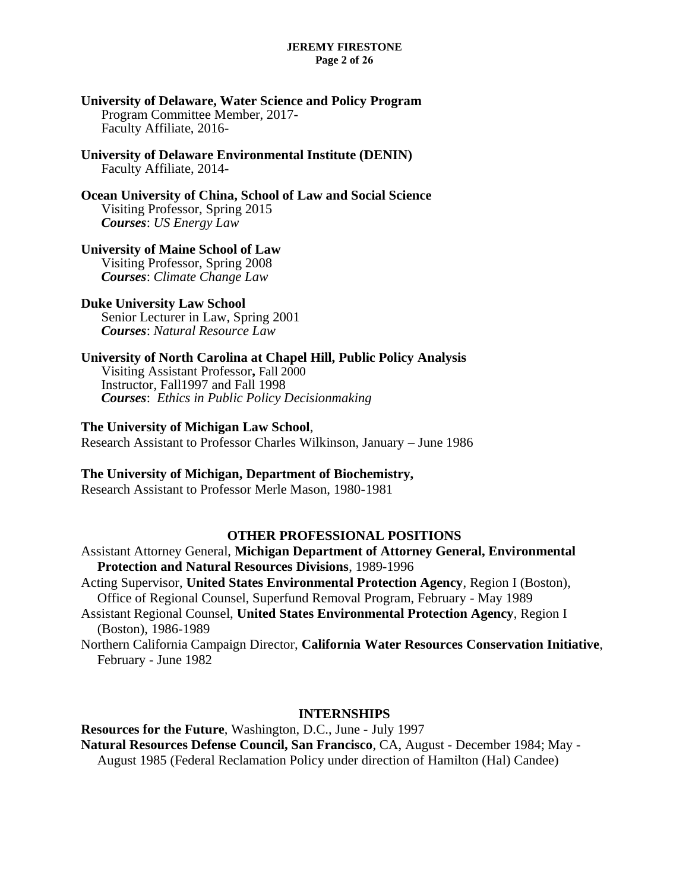#### **JEREMY FIRESTONE Page 2 of 26**

### **University of Delaware, Water Science and Policy Program** Program Committee Member, 2017- Faculty Affiliate, 2016-

**University of Delaware Environmental Institute (DENIN)** Faculty Affiliate, 2014-

**Ocean University of China, School of Law and Social Science** Visiting Professor, Spring 2015 *Courses*: *US Energy Law*

## **University of Maine School of Law**

Visiting Professor, Spring 2008 *Courses*: *Climate Change Law*

## **Duke University Law School**

Senior Lecturer in Law, Spring 2001 *Courses*: *Natural Resource Law*

## **University of North Carolina at Chapel Hill, Public Policy Analysis**

Visiting Assistant Professor**,** Fall 2000 Instructor, Fall1997 and Fall 1998 *Courses*: *Ethics in Public Policy Decisionmaking*

## **The University of Michigan Law School**,

Research Assistant to Professor Charles Wilkinson, January – June 1986

## **The University of Michigan, Department of Biochemistry,**

Research Assistant to Professor Merle Mason, 1980-1981

## **OTHER PROFESSIONAL POSITIONS**

Assistant Attorney General, **Michigan Department of Attorney General, Environmental Protection and Natural Resources Divisions**, 1989-1996

Acting Supervisor, **United States Environmental Protection Agency**, Region I (Boston), Office of Regional Counsel, Superfund Removal Program, February - May 1989

Assistant Regional Counsel, **United States Environmental Protection Agency**, Region I (Boston), 1986-1989

Northern California Campaign Director, **California Water Resources Conservation Initiative**, February - June 1982

## **INTERNSHIPS**

## **Resources for the Future**, Washington, D.C., June - July 1997 **Natural Resources Defense Council, San Francisco**, CA, August - December 1984; May - August 1985 (Federal Reclamation Policy under direction of Hamilton (Hal) Candee)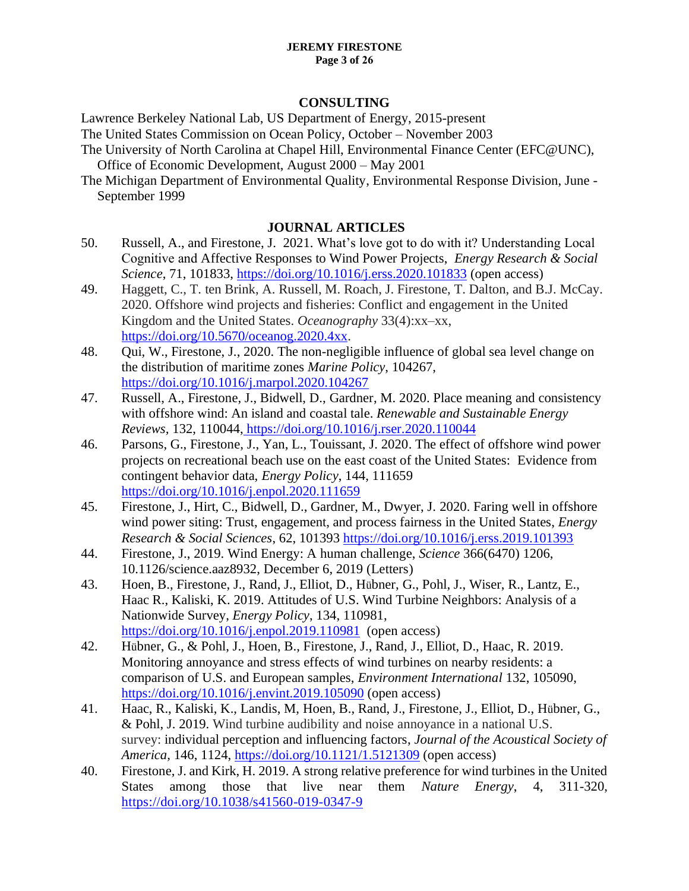#### **JEREMY FIRESTONE Page 3 of 26**

## **CONSULTING**

Lawrence Berkeley National Lab, US Department of Energy, 2015-present

The United States Commission on Ocean Policy, October – November 2003

- The University of North Carolina at Chapel Hill, Environmental Finance Center (EFC@UNC), Office of Economic Development, August 2000 – May 2001
- The Michigan Department of Environmental Quality, Environmental Response Division, June September 1999

# **JOURNAL ARTICLES**

- 50. Russell, A., and Firestone, J. 2021. What's love got to do with it? Understanding Local Cognitive and Affective Responses to Wind Power Projects, *Energy Research & Social Science*, 71, 101833,<https://doi.org/10.1016/j.erss.2020.101833> (open access)
- 49. Haggett, C., T. ten Brink, A. Russell, M. Roach, J. Firestone, T. Dalton, and B.J. McCay. 2020. Offshore wind projects and fisheries: Conflict and engagement in the United Kingdom and the United States. *Oceanography* 33(4):xx–xx, [https://doi.org/10.5670/oceanog.2020.4xx.](https://doi.org/10.5670/oceanog.2020.4xx)
- 48. Qui, W., Firestone, J., 2020. The non-negligible influence of global sea level change on the distribution of maritime zones *Marine Policy*, 104267, <https://doi.org/10.1016/j.marpol.2020.104267>
- 47. Russell, A., Firestone, J., Bidwell, D., Gardner, M. 2020. Place meaning and consistency with offshore wind: An island and coastal tale. *Renewable and Sustainable Energy Reviews,* 132, 110044, [https://doi.org/10.1016/j.rser.2020.110044]( https:/doi.org/10.1016/j.rser.2020.110044)
- 46. Parsons, G., Firestone, J., Yan, L., Touissant, J. 2020. The effect of offshore wind power projects on recreational beach use on the east coast of the United States: Evidence from contingent behavior data, *Energy Policy*, 144, 111659 <https://doi.org/10.1016/j.enpol.2020.111659>
- 45. Firestone, J., Hirt, C., Bidwell, D., Gardner, M., Dwyer, J. 2020. Faring well in offshore wind power siting: Trust, engagement, and process fairness in the United States, *Energy Research & Social Sciences*, 62, 101393<https://doi.org/10.1016/j.erss.2019.101393>
- 44. Firestone, J., 2019. Wind Energy: A human challenge, *Science* 366(6470) 1206, 10.1126/science.aaz8932, December 6, 2019 (Letters)
- 43. Hoen, B., Firestone, J., Rand, J., Elliot, D., Hübner, G., Pohl, J., Wiser, R., Lantz, E., Haac R., Kaliski, K. 2019. Attitudes of U.S. Wind Turbine Neighbors: Analysis of a Nationwide Survey, *Energy Policy*, 134, 110981, <https://doi.org/10.1016/j.enpol.2019.110981> (open access)
- 42. Hübner, G., & Pohl, J., Hoen, B., Firestone, J., Rand, J., Elliot, D., Haac, R. 2019. Monitoring annoyance and stress effects of wind turbines on nearby residents: a comparison of U.S. and European samples, *Environment International* 132, 105090, <https://doi.org/10.1016/j.envint.2019.105090> (open access)
- 41. Haac, R., Kaliski, K., Landis, M, Hoen, B., Rand, J., Firestone, J., Elliot, D., Hübner, G., & Pohl, J. 2019. Wind turbine audibility and noise annoyance in a national U.S. survey: individual perception and influencing factors, *Journal of the Acoustical Society of America,* 146, 1124,<https://doi.org/10.1121/1.5121309> (open access)
- 40. Firestone, J. and Kirk, H. 2019. A strong relative preference for wind turbines in the United States among those that live near them *Nature Energy*, 4, 311-320, <https://doi.org/10.1038/s41560-019-0347-9>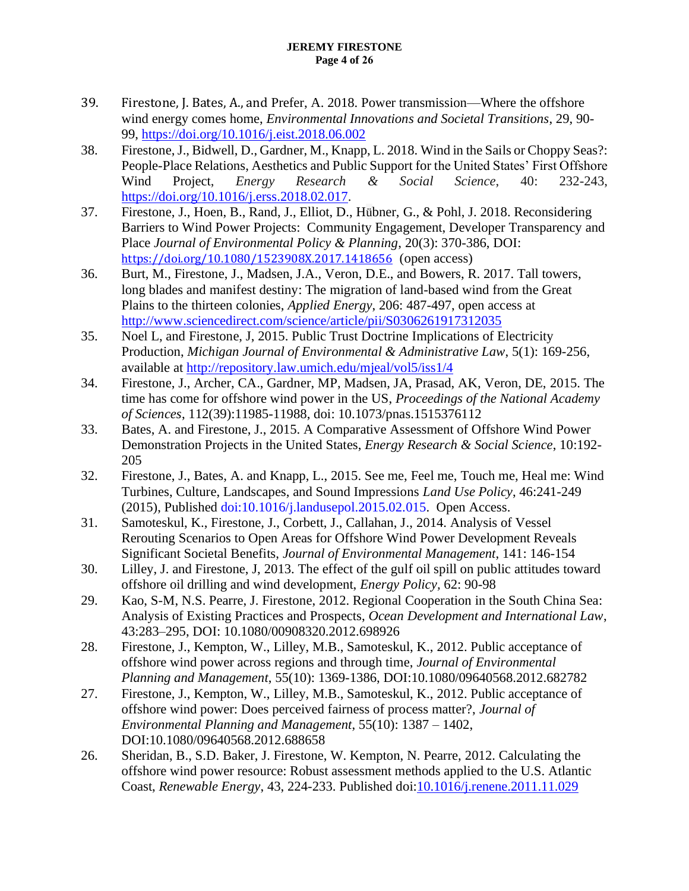### **JEREMY FIRESTONE Page 4 of 26**

- 39. Firestone, J. Bates, A., and Prefer, A. 2018. Power transmission—Where the offshore wind energy comes home, *Environmental Innovations and Societal Transitions*, 29, 90- 99,<https://doi.org/10.1016/j.eist.2018.06.002>
- 38. Firestone, J., Bidwell, D., Gardner, M., Knapp, L. 2018. Wind in the Sails or Choppy Seas?: People-Place Relations, Aesthetics and Public Support for the United States' First Offshore Wind Project, *Energy Research & Social Science*, 40: 232-243, [https://doi.org/10.1016/j.erss.2018.02.017.](https://doi.org/10.1016/j.erss.2018.02.017)
- 37. Firestone, J., Hoen, B., Rand, J., Elliot, D., Hübner, G., & Pohl, J. 2018. Reconsidering Barriers to Wind Power Projects: Community Engagement, Developer Transparency and Place *Journal of Environmental Policy & Planning*, 20(3): 370-386, DOI: <https://doi.org/10.1080/1523908X.2017.1418656> (open access)
- 36. Burt, M., Firestone, J., Madsen, J.A., Veron, D.E., and Bowers, R. 2017. Tall towers, long blades and manifest destiny: The migration of land-based wind from the Great Plains to the thirteen colonies, *Applied Energy*, 206: 487-497, open access at <http://www.sciencedirect.com/science/article/pii/S0306261917312035>
- 35. Noel L, and Firestone, J, 2015. Public Trust Doctrine Implications of Electricity Production, *Michigan Journal of Environmental & Administrative Law*, 5(1): 169-256, available at<http://repository.law.umich.edu/mjeal/vol5/iss1/4>
- 34. Firestone, J., Archer, CA., Gardner, MP, Madsen, JA, Prasad, AK, Veron, DE, 2015. The time has come for offshore wind power in the US, *Proceedings of the National Academy of Sciences*, 112(39):11985-11988, doi: 10.1073/pnas.1515376112
- 33. Bates, A. and Firestone, J., 2015. A Comparative Assessment of Offshore Wind Power Demonstration Projects in the United States, *Energy Research & Social Science*, 10:192- 205
- 32. Firestone, J., Bates, A. and Knapp, L., 2015. See me, Feel me, Touch me, Heal me: Wind Turbines, Culture, Landscapes, and Sound Impressions *Land Use Policy*, 46:241-249 (2015), Published [doi:10.1016/j.landusepol.2015.02.015.](http://dx.doi.org/10.1016/j.landusepol.2015.02.015) Open Access.
- 31. Samoteskul, K., Firestone, J., Corbett, J., Callahan, J., 2014. Analysis of Vessel Rerouting Scenarios to Open Areas for Offshore Wind Power Development Reveals Significant Societal Benefits, *Journal of Environmental Management*, 141: 146-154
- 30. Lilley, J. and Firestone, J, 2013. The effect of the gulf oil spill on public attitudes toward offshore oil drilling and wind development, *Energy Policy,* 62: 90-98
- 29. Kao, S-M, N.S. Pearre, J. Firestone, 2012. Regional Cooperation in the South China Sea: Analysis of Existing Practices and Prospects, *Ocean Development and International Law*, 43:283–295, DOI: 10.1080/00908320.2012.698926
- 28. Firestone, J., Kempton, W., Lilley, M.B., Samoteskul, K., 2012. Public acceptance of offshore wind power across regions and through time, *Journal of Environmental Planning and Management*, 55(10): 1369-1386, DOI:10.1080/09640568.2012.682782
- 27. Firestone, J., Kempton, W., Lilley, M.B., Samoteskul, K., 2012. Public acceptance of offshore wind power: Does perceived fairness of process matter?, *Journal of Environmental Planning and Management*, 55(10): 1387 – 1402, DOI:10.1080/09640568.2012.688658
- 26. Sheridan, B., S.D. Baker, J. Firestone, W. Kempton, N. Pearre, 2012. Calculating the offshore wind power resource: Robust assessment methods applied to the U.S. Atlantic Coast, *Renewable Energy*, 43, 224-233. Published doi[:10.1016/j.renene.2011.11.029](http://www.sciencedirect.com/science/article/pii/S0960148111006318)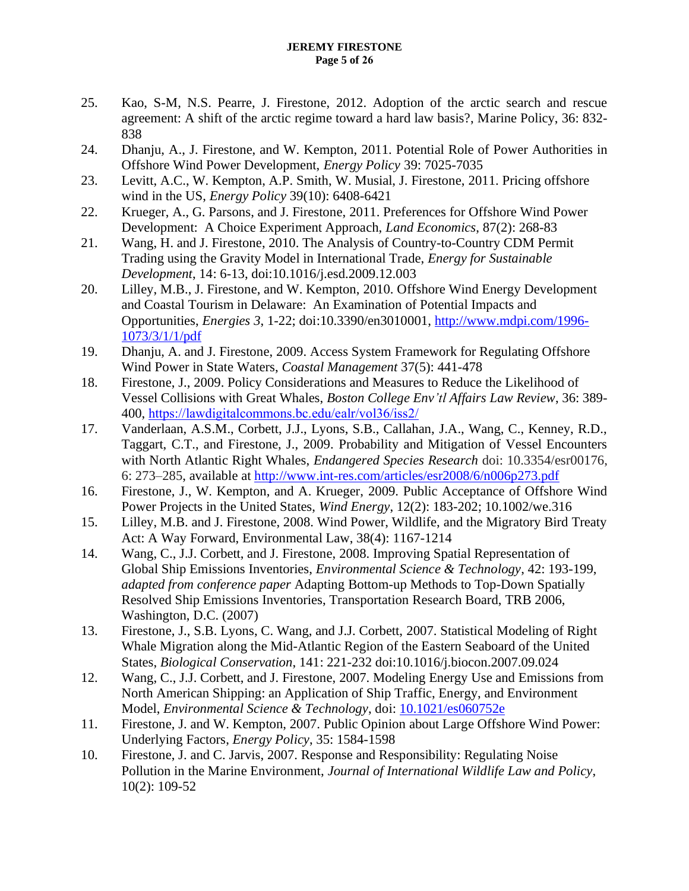### **JEREMY FIRESTONE Page 5 of 26**

- 25. Kao, S-M, N.S. Pearre, J. Firestone, 2012. Adoption of the arctic search and rescue agreement: A shift of the arctic regime toward a hard law basis?, Marine Policy, 36: 832- 838
- 24. Dhanju, A., J. Firestone, and W. Kempton, 2011. Potential Role of Power Authorities in Offshore Wind Power Development, *Energy Policy* 39: 7025-7035
- 23. Levitt, A.C., W. Kempton, A.P. Smith, W. Musial, J. Firestone, 2011. Pricing offshore wind in the US, *Energy Policy* 39(10): 6408-6421
- 22. Krueger, A., G. Parsons, and J. Firestone, 2011. Preferences for Offshore Wind Power Development: A Choice Experiment Approach, *Land Economics*, 87(2): 268-83
- 21. Wang, H. and J. Firestone, 2010. The Analysis of Country-to-Country CDM Permit Trading using the Gravity Model in International Trade, *Energy for Sustainable Development*, 14: 6-13, doi:10.1016/j.esd.2009.12.003
- 20. Lilley, M.B., J. Firestone, and W. Kempton, 2010. Offshore Wind Energy Development and Coastal Tourism in Delaware: An Examination of Potential Impacts and Opportunities, *Energies 3*, 1-22; doi:10.3390/en3010001, [http://www.mdpi.com/1996-](http://www.mdpi.com/1996-1073/3/1/1/pdf) [1073/3/1/1/pdf](http://www.mdpi.com/1996-1073/3/1/1/pdf)
- 19. Dhanju, A. and J. Firestone, 2009. Access System Framework for Regulating Offshore Wind Power in State Waters, *Coastal Management* 37(5): 441-478
- 18. Firestone, J., 2009. Policy Considerations and Measures to Reduce the Likelihood of Vessel Collisions with Great Whales, *Boston College Env'tl Affairs Law Review*, 36: 389- 400, <https://lawdigitalcommons.bc.edu/ealr/vol36/iss2/>
- 17. Vanderlaan, A.S.M., Corbett, J.J., Lyons, S.B., Callahan, J.A., Wang, C., Kenney, R.D., Taggart, C.T., and Firestone, J., 2009. Probability and Mitigation of Vessel Encounters with North Atlantic Right Whales, *Endangered Species Research* doi: 10.3354/esr00176, 6: 273–285, available at<http://www.int-res.com/articles/esr2008/6/n006p273.pdf>
- 16. Firestone, J., W. Kempton, and A. Krueger, 2009. Public Acceptance of Offshore Wind Power Projects in the United States, *Wind Energy*, 12(2): 183-202; 10.1002/we.316
- 15. Lilley, M.B. and J. Firestone, 2008. Wind Power, Wildlife, and the Migratory Bird Treaty Act: A Way Forward, Environmental Law, 38(4): 1167-1214
- 14. Wang, C., J.J. Corbett, and J. Firestone, 2008. Improving Spatial Representation of Global Ship Emissions Inventories, *Environmental Science & Technology*, 42: 193-199, *adapted from conference paper* Adapting Bottom-up Methods to Top-Down Spatially Resolved Ship Emissions Inventories, Transportation Research Board, TRB 2006, Washington, D.C. (2007)
- 13. Firestone, J., S.B. Lyons, C. Wang, and J.J. Corbett, 2007. Statistical Modeling of Right Whale Migration along the Mid-Atlantic Region of the Eastern Seaboard of the United States, *Biological Conservation*, 141: 221-232 doi:10.1016/j.biocon.2007.09.024
- 12. Wang, C., J.J. Corbett, and J. Firestone, 2007. Modeling Energy Use and Emissions from North American Shipping: an Application of Ship Traffic, Energy, and Environment Model, *Environmental Science & Technology*, doi: [10.1021/es060752e](http://dx.doi.org/10.1021/es060752e)
- 11. Firestone, J. and W. Kempton, 2007. Public Opinion about Large Offshore Wind Power: Underlying Factors, *Energy Policy*, 35: 1584-1598
- 10. Firestone, J. and C. Jarvis, 2007. Response and Responsibility: Regulating Noise Pollution in the Marine Environment, *Journal of International Wildlife Law and Policy*, 10(2): 109-52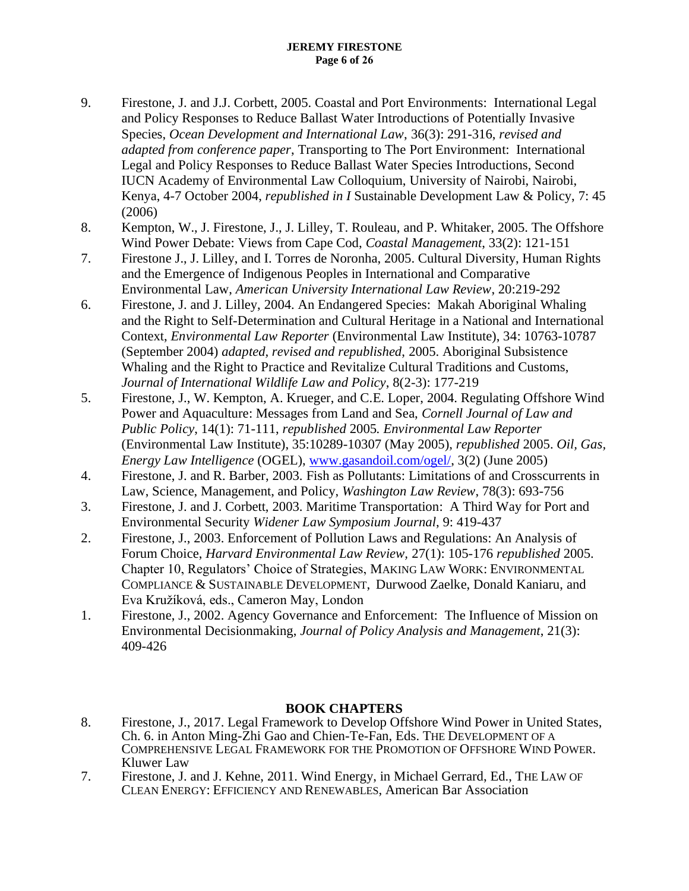- 9. Firestone, J. and J.J. Corbett, 2005. Coastal and Port Environments: International Legal and Policy Responses to Reduce Ballast Water Introductions of Potentially Invasive Species, *Ocean Development and International Law*, 36(3): 291-316, *revised and adapted from conference paper*, Transporting to The Port Environment: International Legal and Policy Responses to Reduce Ballast Water Species Introductions, Second IUCN Academy of Environmental Law Colloquium, University of Nairobi, Nairobi, Kenya, 4-7 October 2004, *republished in I* Sustainable Development Law & Policy, 7: 45 (2006)
- 8. Kempton, W., J. Firestone, J., J. Lilley, T. Rouleau, and P. Whitaker, 2005. The Offshore Wind Power Debate: Views from Cape Cod, *Coastal Management*, 33(2): 121-151
- 7. Firestone J., J. Lilley, and I. Torres de Noronha, 2005. Cultural Diversity, Human Rights and the Emergence of Indigenous Peoples in International and Comparative Environmental Law, *American University International Law Review*, 20:219-292
- 6. Firestone, J. and J. Lilley, 2004. An Endangered Species: Makah Aboriginal Whaling and the Right to Self-Determination and Cultural Heritage in a National and International Context, *Environmental Law Reporter* (Environmental Law Institute), 34: 10763-10787 (September 2004) *adapted, revised and republished*, 2005. Aboriginal Subsistence Whaling and the Right to Practice and Revitalize Cultural Traditions and Customs, *Journal of International Wildlife Law and Policy*, 8(2-3): 177-219
- 5. Firestone, J., W. Kempton, A. Krueger, and C.E. Loper, 2004. Regulating Offshore Wind Power and Aquaculture: Messages from Land and Sea, *Cornell Journal of Law and Public Policy*, 14(1): 71-111, *republished* 2005*. Environmental Law Reporter* (Environmental Law Institute), 35:10289-10307 (May 2005), *republished* 2005. *Oil, Gas, Energy Law Intelligence* (OGEL), [www.gasandoil.com/ogel/,](http://www.gasandoil.com/ogel/) 3(2) (June 2005)
- 4. Firestone, J. and R. Barber, 2003. Fish as Pollutants: Limitations of and Crosscurrents in Law, Science, Management, and Policy, *Washington Law Review*, 78(3): 693-756
- 3. Firestone, J. and J. Corbett, 2003. Maritime Transportation: A Third Way for Port and Environmental Security *Widener Law Symposium Journal*, 9: 419-437
- 2. Firestone, J., 2003. Enforcement of Pollution Laws and Regulations: An Analysis of Forum Choice, *Harvard Environmental Law Review,* 27(1): 105-176 *republished* 2005. Chapter 10, Regulators' Choice of Strategies, MAKING LAW WORK: ENVIRONMENTAL COMPLIANCE & SUSTAINABLE DEVELOPMENT, Durwood Zaelke, Donald Kaniaru, and Eva Kružíková, eds., Cameron May, London
- 1. Firestone, J., 2002. Agency Governance and Enforcement: The Influence of Mission on Environmental Decisionmaking, *Journal of Policy Analysis and Management*, 21(3): 409-426

# **BOOK CHAPTERS**

- 8. Firestone, J., 2017. Legal Framework to Develop Offshore Wind Power in United States, Ch. 6. in Anton Ming-Zhi Gao and Chien-Te-Fan, Eds. THE DEVELOPMENT OF A COMPREHENSIVE LEGAL FRAMEWORK FOR THE PROMOTION OF OFFSHORE WIND POWER. Kluwer Law
- 7. Firestone, J. and J. Kehne, 2011. Wind Energy, in Michael Gerrard, Ed., THE LAW OF CLEAN ENERGY: EFFICIENCY AND RENEWABLES, American Bar Association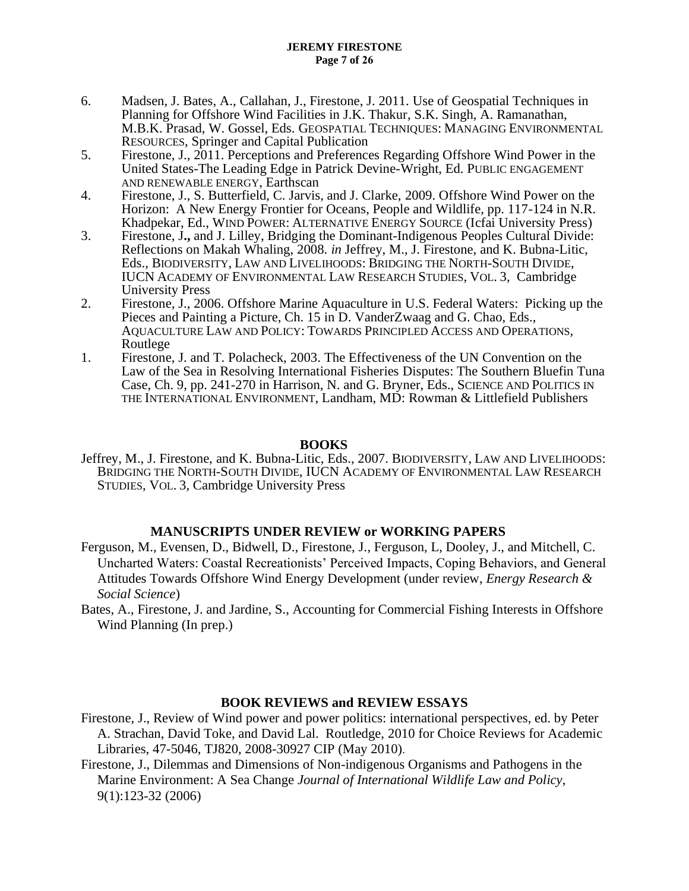- 6. Madsen, J. Bates, A., Callahan, J., Firestone, J. 2011. Use of Geospatial Techniques in Planning for Offshore Wind Facilities in J.K. Thakur, S.K. Singh, A. Ramanathan, M.B.K. Prasad, W. Gossel, Eds. GEOSPATIAL TECHNIQUES: MANAGING ENVIRONMENTAL RESOURCES, Springer and Capital Publication
- 5. Firestone, J., 2011. Perceptions and Preferences Regarding Offshore Wind Power in the United States-The Leading Edge in Patrick Devine-Wright, Ed. PUBLIC ENGAGEMENT AND RENEWABLE ENERGY, Earthscan
- 4. Firestone, J., S. Butterfield, C. Jarvis, and J. Clarke, 2009. Offshore Wind Power on the Horizon: A New Energy Frontier for Oceans, People and Wildlife, pp. 117-124 in N.R. Khadpekar, Ed., WIND POWER: ALTERNATIVE ENERGY SOURCE (Icfai University Press)
- 3. Firestone, J**.,** and J. Lilley, Bridging the Dominant-Indigenous Peoples Cultural Divide: Reflections on Makah Whaling, 2008. *in* Jeffrey, M., J. Firestone, and K. Bubna-Litic, Eds., BIODIVERSITY, LAW AND LIVELIHOODS: BRIDGING THE NORTH-SOUTH DIVIDE, IUCN ACADEMY OF ENVIRONMENTAL LAW RESEARCH STUDIES, VOL. 3, Cambridge University Press
- 2. Firestone, J., 2006. Offshore Marine Aquaculture in U.S. Federal Waters: Picking up the Pieces and Painting a Picture, Ch. 15 in D. VanderZwaag and G. Chao, Eds., AQUACULTURE LAW AND POLICY: TOWARDS PRINCIPLED ACCESS AND OPERATIONS, Routlege
- 1. Firestone, J. and T. Polacheck, 2003. The Effectiveness of the UN Convention on the Law of the Sea in Resolving International Fisheries Disputes: The Southern Bluefin Tuna Case, Ch. 9, pp. 241-270 in Harrison, N. and G. Bryner, Eds., SCIENCE AND POLITICS IN THE INTERNATIONAL ENVIRONMENT, Landham, MD: Rowman & Littlefield Publishers

## **BOOKS**

Jeffrey, M., J. Firestone, and K. Bubna-Litic, Eds., 2007. BIODIVERSITY, LAW AND LIVELIHOODS: BRIDGING THE NORTH-SOUTH DIVIDE, IUCN ACADEMY OF ENVIRONMENTAL LAW RESEARCH STUDIES, VOL. 3, Cambridge University Press

## **MANUSCRIPTS UNDER REVIEW or WORKING PAPERS**

- Ferguson, M., Evensen, D., Bidwell, D., Firestone, J., Ferguson, L, Dooley, J., and Mitchell, C. Uncharted Waters: Coastal Recreationists' Perceived Impacts, Coping Behaviors, and General Attitudes Towards Offshore Wind Energy Development (under review, *Energy Research & Social Science*)
- Bates, A., Firestone, J. and Jardine, S., Accounting for Commercial Fishing Interests in Offshore Wind Planning (In prep.)

## **BOOK REVIEWS and REVIEW ESSAYS**

- Firestone, J., Review of Wind power and power politics: international perspectives, ed. by Peter A. Strachan, David Toke, and David Lal. Routledge, 2010 for Choice Reviews for Academic Libraries, 47-5046, TJ820, 2008-30927 CIP (May 2010).
- Firestone, J., Dilemmas and Dimensions of Non-indigenous Organisms and Pathogens in the Marine Environment: A Sea Change *Journal of International Wildlife Law and Policy*, 9(1):123-32 (2006)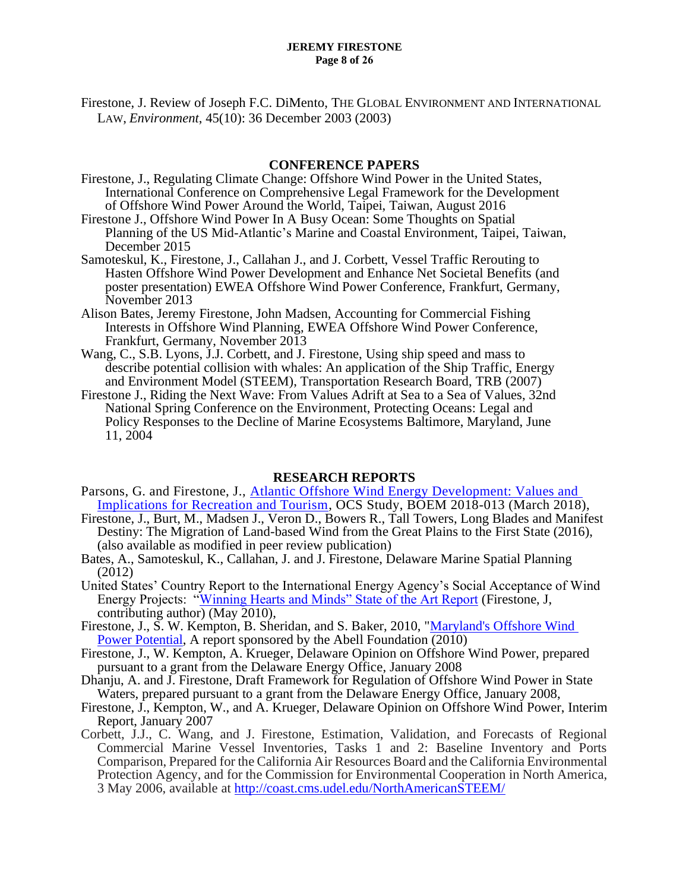Firestone, J. Review of Joseph F.C. DiMento, THE GLOBAL ENVIRONMENT AND INTERNATIONAL LAW, *Environment*, 45(10): 36 December 2003 (2003)

### **CONFERENCE PAPERS**

- Firestone, J., Regulating Climate Change: Offshore Wind Power in the United States, International Conference on Comprehensive Legal Framework for the Development of Offshore Wind Power Around the World, Taipei, Taiwan, August 2016
- Firestone J., Offshore Wind Power In A Busy Ocean: Some Thoughts on Spatial Planning of the US Mid-Atlantic's Marine and Coastal Environment, Taipei, Taiwan, December 2015
- Samoteskul, K., Firestone, J., Callahan J., and J. Corbett, Vessel Traffic Rerouting to Hasten Offshore Wind Power Development and Enhance Net Societal Benefits (and poster presentation) EWEA Offshore Wind Power Conference, Frankfurt, Germany, November 2013
- Alison Bates, Jeremy Firestone, John Madsen, Accounting for Commercial Fishing Interests in Offshore Wind Planning, EWEA Offshore Wind Power Conference, Frankfurt, Germany, November 2013
- Wang, C., S.B. Lyons, J.J. Corbett, and J. Firestone, Using ship speed and mass to describe potential collision with whales: An application of the Ship Traffic, Energy and Environment Model (STEEM), Transportation Research Board, TRB (2007)
- Firestone J., Riding the Next Wave: From Values Adrift at Sea to a Sea of Values, 32nd National Spring Conference on the Environment, Protecting Oceans: Legal and Policy Responses to the Decline of Marine Ecosystems Baltimore, Maryland, June 11, 2004

### **RESEARCH REPORTS**

- Parsons, G. and Firestone, J., [Atlantic Offshore Wind Energy Development: Values and](https://espis.boem.gov/final%20reports/5662.pdf)  [Implications for Recreation and Tourism,](https://espis.boem.gov/final%20reports/5662.pdf) OCS Study, BOEM 2018-013 (March 2018),
- Firestone, J., Burt, M., Madsen J., Veron D., Bowers R., Tall Towers, Long Blades and Manifest Destiny: The Migration of Land-based Wind from the Great Plains to the First State (2016), (also available as modified in peer review publication)
- Bates, A., Samoteskul, K., Callahan, J. and J. Firestone, Delaware Marine Spatial Planning (2012)
- United States' Country Report to the International Energy Agency's Social Acceptance of Wind Energy Projects: ["Winning Hearts and Minds" State of the Art Report](http://www.socialacceptance.ch/images/State-of-the-Art_Acceptance_Wind_Energy_USA.pdf) (Firestone, J, contributing author) (May 2010),
- Firestone, J., S. W. Kempton, B. Sheridan, and S. Baker, 2010, ["Maryland's Offshore Wind](http://www.abell.org/pubsitems/env_Offshore.full.report-2-18-10.pdf)  [Power Potential,](http://www.abell.org/pubsitems/env_Offshore.full.report-2-18-10.pdf) A report sponsored by the Abell Foundation (2010)
- Firestone, J., W. Kempton, A. Krueger, Delaware Opinion on Offshore Wind Power, prepared pursuant to a grant from the Delaware Energy Office, January 2008
- Dhanju, A. and J. Firestone, Draft Framework for Regulation of Offshore Wind Power in State Waters, prepared pursuant to a grant from the Delaware Energy Office, January 2008,
- Firestone, J., Kempton, W., and A. Krueger, Delaware Opinion on Offshore Wind Power, Interim Report, January 2007
- Corbett, J.J., C. Wang, and J. Firestone, Estimation, Validation, and Forecasts of Regional Commercial Marine Vessel Inventories, Tasks 1 and 2: Baseline Inventory and Ports Comparison, Prepared for the California Air Resources Board and the California Environmental Protection Agency, and for the Commission for Environmental Cooperation in North America, 3 May 2006, available at<http://coast.cms.udel.edu/NorthAmericanSTEEM/>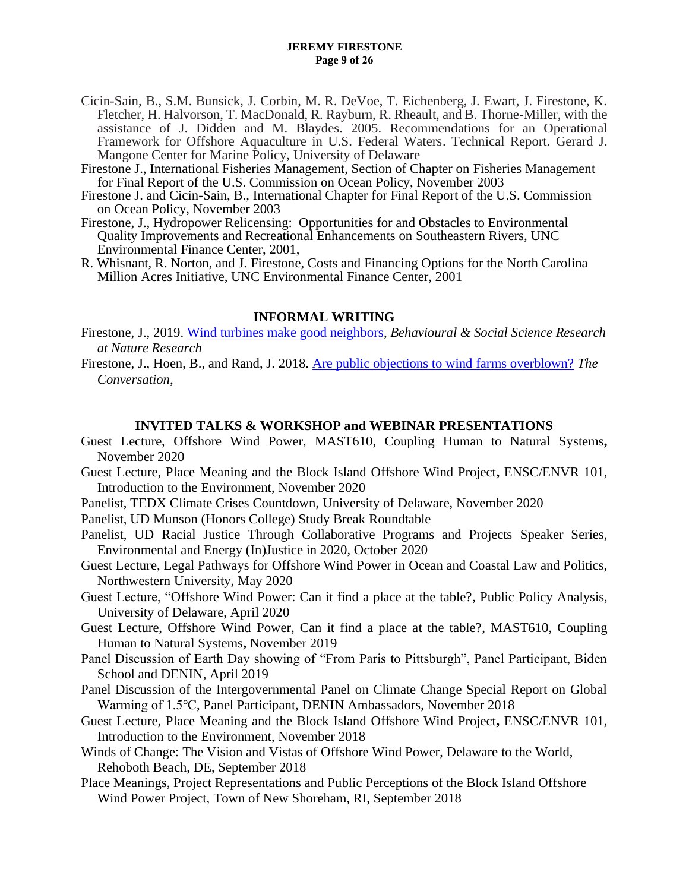#### **JEREMY FIRESTONE Page 9 of 26**

- Cicin-Sain, B., S.M. Bunsick, J. Corbin, M. R. DeVoe, T. Eichenberg, J. Ewart, J. Firestone, K. Fletcher, H. Halvorson, T. MacDonald, R. Rayburn, R. Rheault, and B. Thorne-Miller, with the assistance of J. Didden and M. Blaydes. 2005. Recommendations for an Operational Framework for Offshore Aquaculture in U.S. Federal Waters. Technical Report. Gerard J. Mangone Center for Marine Policy, University of Delaware
- Firestone J., International Fisheries Management, Section of Chapter on Fisheries Management for Final Report of the U.S. Commission on Ocean Policy, November 2003
- Firestone J. and Cicin-Sain, B., International Chapter for Final Report of the U.S. Commission on Ocean Policy, November 2003
- Firestone, J., Hydropower Relicensing: Opportunities for and Obstacles to Environmental Quality Improvements and Recreational Enhancements on Southeastern Rivers, UNC Environmental Finance Center, 2001,
- R. Whisnant, R. Norton, and J. Firestone, Costs and Financing Options for the North Carolina Million Acres Initiative, UNC Environmental Finance Center, 2001

## **INFORMAL WRITING**

- Firestone, J., 2019. [Wind turbines make good neighbors,](https://socialsciences.nature.com/users/209734-jeremy-firestone/posts/45739-wind-turbines-make-good-neighbors) *Behavioural & Social Science Research at Nature Research*
- Firestone, J., Hoen, B., and Rand, J. 2018. [Are public objections to wind farms overblown?](https://theconversation.com/are-public-objections-to-wind-farms-overblown-95728) *The Conversation*,

## **INVITED TALKS & WORKSHOP and WEBINAR PRESENTATIONS**

- Guest Lecture, Offshore Wind Power, MAST610, Coupling Human to Natural Systems**,** November 2020
- Guest Lecture, Place Meaning and the Block Island Offshore Wind Project**,** ENSC/ENVR 101, Introduction to the Environment, November 2020
- Panelist, TEDX Climate Crises Countdown, University of Delaware, November 2020
- Panelist, UD Munson (Honors College) Study Break Roundtable
- Panelist, UD Racial Justice Through Collaborative Programs and Projects Speaker Series, Environmental and Energy (In)Justice in 2020, October 2020
- Guest Lecture, Legal Pathways for Offshore Wind Power in Ocean and Coastal Law and Politics, Northwestern University, May 2020
- Guest Lecture, "Offshore Wind Power: Can it find a place at the table?, Public Policy Analysis, University of Delaware, April 2020
- Guest Lecture, Offshore Wind Power, Can it find a place at the table?, MAST610, Coupling Human to Natural Systems**,** November 2019
- Panel Discussion of Earth Day showing of "From Paris to Pittsburgh", Panel Participant, Biden School and DENIN, April 2019
- Panel Discussion of the Intergovernmental Panel on Climate Change Special Report on Global Warming of 1.5℃, Panel Participant, DENIN Ambassadors, November 2018
- Guest Lecture, Place Meaning and the Block Island Offshore Wind Project**,** ENSC/ENVR 101, Introduction to the Environment, November 2018
- Winds of Change: The Vision and Vistas of Offshore Wind Power, Delaware to the World, Rehoboth Beach, DE, September 2018
- Place Meanings, Project Representations and Public Perceptions of the Block Island Offshore Wind Power Project, Town of New Shoreham, RI, September 2018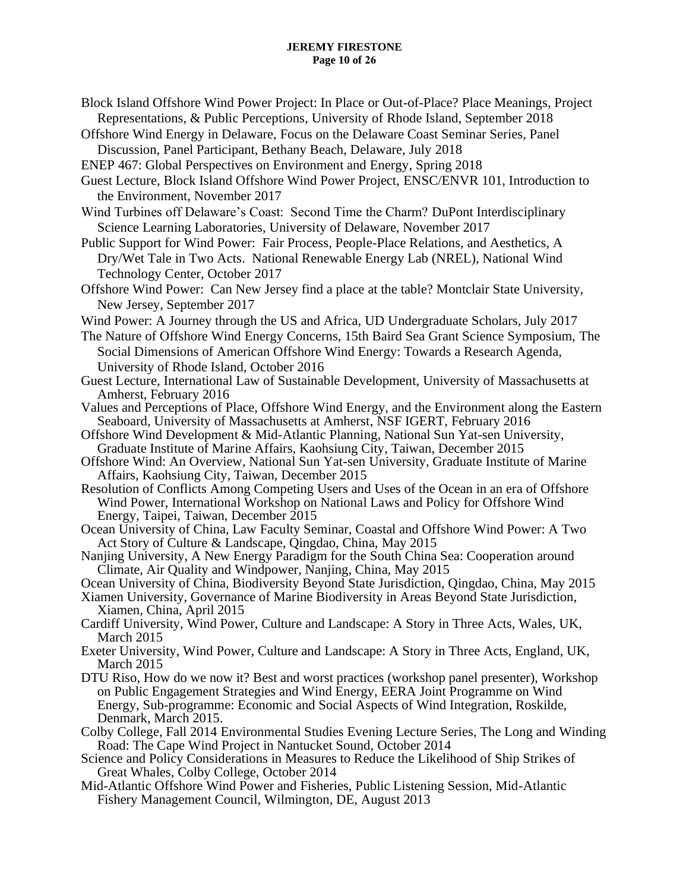#### **JEREMY FIRESTONE Page 10 of 26**

- Block Island Offshore Wind Power Project: In Place or Out-of-Place? Place Meanings, Project Representations, & Public Perceptions, University of Rhode Island, September 2018
- Offshore Wind Energy in Delaware, Focus on the Delaware Coast Seminar Series, Panel Discussion, Panel Participant, Bethany Beach, Delaware, July 2018
- ENEP 467: Global Perspectives on Environment and Energy, Spring 2018
- Guest Lecture, Block Island Offshore Wind Power Project, ENSC/ENVR 101, Introduction to the Environment, November 2017
- Wind Turbines off Delaware's Coast: Second Time the Charm? DuPont Interdisciplinary Science Learning Laboratories, University of Delaware, November 2017
- Public Support for Wind Power: Fair Process, People-Place Relations, and Aesthetics, A Dry/Wet Tale in Two Acts. National Renewable Energy Lab (NREL), National Wind Technology Center, October 2017
- Offshore Wind Power: Can New Jersey find a place at the table? Montclair State University, New Jersey, September 2017
- Wind Power: A Journey through the US and Africa, UD Undergraduate Scholars, July 2017
- The Nature of Offshore Wind Energy Concerns, 15th Baird Sea Grant Science Symposium, The Social Dimensions of American Offshore Wind Energy: Towards a Research Agenda, University of Rhode Island, October 2016
- Guest Lecture, International Law of Sustainable Development, University of Massachusetts at Amherst, February 2016
- Values and Perceptions of Place, Offshore Wind Energy, and the Environment along the Eastern Seaboard, University of Massachusetts at Amherst, NSF IGERT, February 2016
- Offshore Wind Development & Mid-Atlantic Planning, National Sun Yat-sen University, Graduate Institute of Marine Affairs, Kaohsiung City, Taiwan, December 2015
- Offshore Wind: An Overview, National Sun Yat-sen University, Graduate Institute of Marine Affairs, Kaohsiung City, Taiwan, December 2015
- Resolution of Conflicts Among Competing Users and Uses of the Ocean in an era of Offshore Wind Power, International Workshop on National Laws and Policy for Offshore Wind Energy, Taipei, Taiwan, December 2015
- Ocean University of China, Law Faculty Seminar, Coastal and Offshore Wind Power: A Two Act Story of Culture & Landscape, Qingdao, China, May 2015
- Nanjing University, A New Energy Paradigm for the South China Sea: Cooperation around Climate, Air Quality and Windpower, Nanjing, China, May 2015
- Ocean University of China, Biodiversity Beyond State Jurisdiction, Qingdao, China, May 2015
- Xiamen University, Governance of Marine Biodiversity in Areas Beyond State Jurisdiction, Xiamen, China, April 2015
- Cardiff University, Wind Power, Culture and Landscape: A Story in Three Acts, Wales, UK, March 2015
- Exeter University, Wind Power, Culture and Landscape: A Story in Three Acts, England, UK, March 2015
- DTU Riso, How do we now it? Best and worst practices (workshop panel presenter), Workshop on Public Engagement Strategies and Wind Energy, EERA Joint Programme on Wind Energy, Sub-programme: Economic and Social Aspects of Wind Integration, Roskilde, Denmark, March 2015.
- Colby College, Fall 2014 Environmental Studies Evening Lecture Series, The Long and Winding Road: The Cape Wind Project in Nantucket Sound, October 2014
- Science and Policy Considerations in Measures to Reduce the Likelihood of Ship Strikes of Great Whales, Colby College, October 2014
- Mid-Atlantic Offshore Wind Power and Fisheries, Public Listening Session, Mid-Atlantic Fishery Management Council, Wilmington, DE, August 2013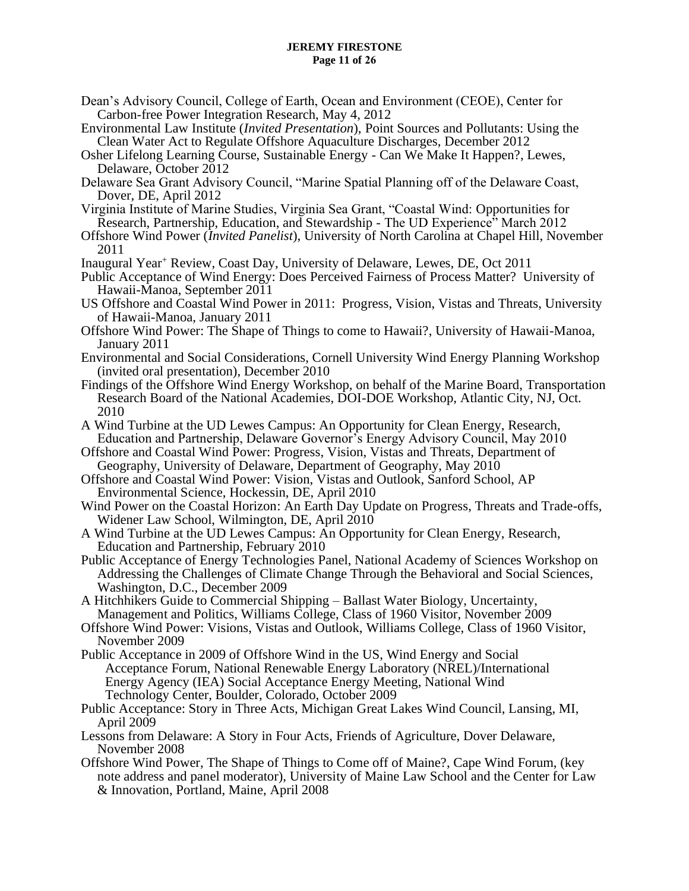#### **JEREMY FIRESTONE Page 11 of 26**

- Dean's Advisory Council, College of Earth, Ocean and Environment (CEOE), Center for Carbon-free Power Integration Research, May 4, 2012
- Environmental Law Institute (*Invited Presentation*), Point Sources and Pollutants: Using the Clean Water Act to Regulate Offshore Aquaculture Discharges, December 2012
- Osher Lifelong Learning Course, Sustainable Energy Can We Make It Happen?, Lewes, Delaware, October 2012
- Delaware Sea Grant Advisory Council, "Marine Spatial Planning off of the Delaware Coast, Dover, DE, April 2012
- Virginia Institute of Marine Studies, Virginia Sea Grant, "Coastal Wind: Opportunities for Research, Partnership, Education, and Stewardship - The UD Experience" March 2012
- Offshore Wind Power (*Invited Panelist*), University of North Carolina at Chapel Hill, November 2011
- Inaugural Year<sup>+</sup> Review, Coast Day, University of Delaware, Lewes, DE, Oct 2011
- Public Acceptance of Wind Energy: Does Perceived Fairness of Process Matter? University of Hawaii-Manoa, September 2011
- US Offshore and Coastal Wind Power in 2011: Progress, Vision, Vistas and Threats, University of Hawaii-Manoa, January 2011
- Offshore Wind Power: The Shape of Things to come to Hawaii?, University of Hawaii-Manoa, January 2011
- Environmental and Social Considerations, Cornell University Wind Energy Planning Workshop (invited oral presentation), December 2010
- Findings of the Offshore Wind Energy Workshop, on behalf of the Marine Board, Transportation Research Board of the National Academies, DOI-DOE Workshop, Atlantic City, NJ, Oct. 2010
- A Wind Turbine at the UD Lewes Campus: An Opportunity for Clean Energy, Research, Education and Partnership, Delaware Governor's Energy Advisory Council, May 2010
- Offshore and Coastal Wind Power: Progress, Vision, Vistas and Threats, Department of Geography, University of Delaware, Department of Geography, May 2010
- Offshore and Coastal Wind Power: Vision, Vistas and Outlook, Sanford School, AP Environmental Science, Hockessin, DE, April 2010
- Wind Power on the Coastal Horizon: An Earth Day Update on Progress, Threats and Trade-offs, Widener Law School, Wilmington, DE, April 2010
- A Wind Turbine at the UD Lewes Campus: An Opportunity for Clean Energy, Research, Education and Partnership, February 2010
- Public Acceptance of Energy Technologies Panel, National Academy of Sciences Workshop on Addressing the Challenges of Climate Change Through the Behavioral and Social Sciences, Washington, D.C., December 2009
- A Hitchhikers Guide to Commercial Shipping Ballast Water Biology, Uncertainty, Management and Politics, Williams College, Class of 1960 Visitor, November 2009
- Offshore Wind Power: Visions, Vistas and Outlook, Williams College, Class of 1960 Visitor, November 2009
- Public Acceptance in 2009 of Offshore Wind in the US, Wind Energy and Social Acceptance Forum, National Renewable Energy Laboratory (NREL)/International Energy Agency (IEA) Social Acceptance Energy Meeting, National Wind Technology Center, Boulder, Colorado, October 2009
- Public Acceptance: Story in Three Acts, Michigan Great Lakes Wind Council, Lansing, MI, April 2009
- Lessons from Delaware: A Story in Four Acts, Friends of Agriculture, Dover Delaware, November 2008
- Offshore Wind Power, The Shape of Things to Come off of Maine?, Cape Wind Forum, (key note address and panel moderator), University of Maine Law School and the Center for Law & Innovation, Portland, Maine, April 2008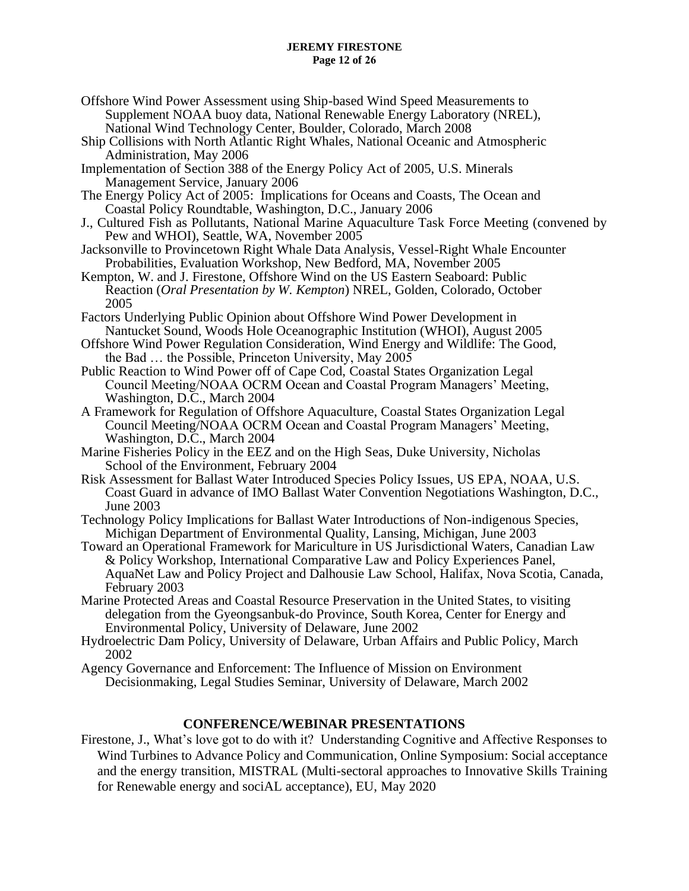#### **JEREMY FIRESTONE Page 12 of 26**

- Offshore Wind Power Assessment using Ship-based Wind Speed Measurements to Supplement NOAA buoy data, National Renewable Energy Laboratory (NREL), National Wind Technology Center, Boulder, Colorado, March 2008
- Ship Collisions with North Atlantic Right Whales, National Oceanic and Atmospheric Administration, May 2006
- Implementation of Section 388 of the Energy Policy Act of 2005, U.S. Minerals Management Service, January 2006
- The Energy Policy Act of 2005: Implications for Oceans and Coasts, The Ocean and Coastal Policy Roundtable, Washington, D.C., January 2006
- J., Cultured Fish as Pollutants, National Marine Aquaculture Task Force Meeting (convened by Pew and WHOI), Seattle, WA, November 2005
- Jacksonville to Provincetown Right Whale Data Analysis, Vessel-Right Whale Encounter Probabilities, Evaluation Workshop, New Bedford, MA, November 2005
- Kempton, W. and J. Firestone, Offshore Wind on the US Eastern Seaboard: Public Reaction (*Oral Presentation by W. Kempton*) NREL, Golden, Colorado, October 2005
- Factors Underlying Public Opinion about Offshore Wind Power Development in Nantucket Sound, Woods Hole Oceanographic Institution (WHOI), August 2005
- Offshore Wind Power Regulation Consideration, Wind Energy and Wildlife: The Good, the Bad … the Possible, Princeton University, May 2005
- Public Reaction to Wind Power off of Cape Cod, Coastal States Organization Legal Council Meeting/NOAA OCRM Ocean and Coastal Program Managers' Meeting, Washington, D.C., March 2004
- A Framework for Regulation of Offshore Aquaculture, Coastal States Organization Legal Council Meeting/NOAA OCRM Ocean and Coastal Program Managers' Meeting, Washington, D.C., March 2004
- Marine Fisheries Policy in the EEZ and on the High Seas, Duke University, Nicholas School of the Environment, February 2004
- Risk Assessment for Ballast Water Introduced Species Policy Issues, US EPA, NOAA, U.S. Coast Guard in advance of IMO Ballast Water Convention Negotiations Washington, D.C., June 2003
- Technology Policy Implications for Ballast Water Introductions of Non-indigenous Species, Michigan Department of Environmental Quality, Lansing, Michigan, June 2003
- Toward an Operational Framework for Mariculture in US Jurisdictional Waters, Canadian Law & Policy Workshop, International Comparative Law and Policy Experiences Panel, AquaNet Law and Policy Project and Dalhousie Law School, Halifax, Nova Scotia, Canada, February 2003
- Marine Protected Areas and Coastal Resource Preservation in the United States, to visiting delegation from the Gyeongsanbuk-do Province, South Korea, Center for Energy and Environmental Policy, University of Delaware, June 2002
- Hydroelectric Dam Policy, University of Delaware, Urban Affairs and Public Policy, March 2002
- Agency Governance and Enforcement: The Influence of Mission on Environment Decisionmaking, Legal Studies Seminar, University of Delaware, March 2002

# **CONFERENCE/WEBINAR PRESENTATIONS**

Firestone, J., What's love got to do with it? Understanding Cognitive and Affective Responses to Wind Turbines to Advance Policy and Communication, Online Symposium: Social acceptance and the energy transition, MISTRAL (Multi-sectoral approaches to Innovative Skills Training for Renewable energy and sociAL acceptance), EU, May 2020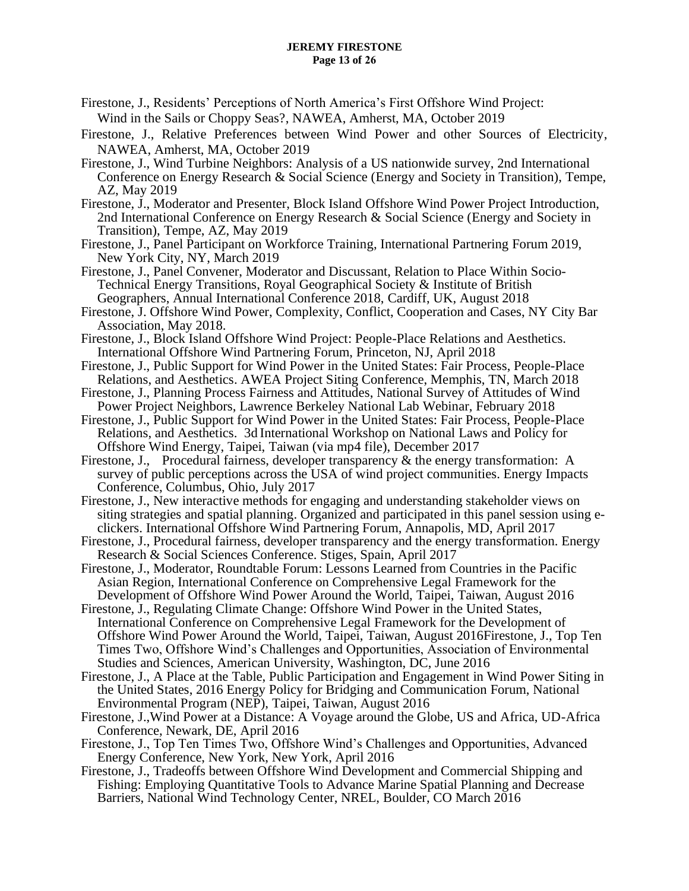- Firestone, J., Residents' Perceptions of North America's First Offshore Wind Project: Wind in the Sails or Choppy Seas?, NAWEA, Amherst, MA, October 2019
- Firestone, J., Relative Preferences between Wind Power and other Sources of Electricity, NAWEA, Amherst, MA, October 2019
- Firestone, J., Wind Turbine Neighbors: Analysis of a US nationwide survey, 2nd International Conference on Energy Research & Social Science (Energy and Society in Transition), Tempe, AZ, May 2019
- Firestone, J., Moderator and Presenter, Block Island Offshore Wind Power Project Introduction, 2nd International Conference on Energy Research & Social Science (Energy and Society in Transition), Tempe, AZ, May 2019
- Firestone, J., Panel Participant on Workforce Training, International Partnering Forum 2019, New York City, NY, March 2019
- Firestone, J., Panel Convener, Moderator and Discussant, Relation to Place Within Socio-Technical Energy Transitions, Royal Geographical Society & Institute of British Geographers, Annual International Conference 2018, Cardiff, UK, August 2018
- Firestone, J. Offshore Wind Power, Complexity, Conflict, Cooperation and Cases, NY City Bar Association, May 2018.
- Firestone, J., Block Island Offshore Wind Project: People-Place Relations and Aesthetics. International Offshore Wind Partnering Forum, Princeton, NJ, April 2018
- Firestone, J., Public Support for Wind Power in the United States: Fair Process, People-Place Relations, and Aesthetics. AWEA Project Siting Conference, Memphis, TN, March 2018
- Firestone, J., Planning Process Fairness and Attitudes, National Survey of Attitudes of Wind Power Project Neighbors, Lawrence Berkeley National Lab Webinar, February 2018
- Firestone, J., Public Support for Wind Power in the United States: Fair Process, People-Place Relations, and Aesthetics. 3d International Workshop on National Laws and Policy for Offshore Wind Energy, Taipei, Taiwan (via mp4 file), December 2017
- Firestone, J., Procedural fairness, developer transparency & the energy transformation: A survey of public perceptions across the USA of wind project communities. Energy Impacts Conference, Columbus, Ohio, July 2017
- Firestone, J., New interactive methods for engaging and understanding stakeholder views on siting strategies and spatial planning. Organized and participated in this panel session using eclickers. International Offshore Wind Partnering Forum, Annapolis, MD, April 2017
- Firestone, J., Procedural fairness, developer transparency and the energy transformation. Energy Research & Social Sciences Conference. Stiges, Spain, April 2017
- Firestone, J., Moderator, Roundtable Forum: Lessons Learned from Countries in the Pacific Asian Region, International Conference on Comprehensive Legal Framework for the Development of Offshore Wind Power Around the World, Taipei, Taiwan, August 2016
- Firestone, J., Regulating Climate Change: Offshore Wind Power in the United States, International Conference on Comprehensive Legal Framework for the Development of Offshore Wind Power Around the World, Taipei, Taiwan, August 2016Firestone, J., Top Ten Times Two, Offshore Wind's Challenges and Opportunities, Association of Environmental Studies and Sciences, American University, Washington, DC, June 2016
- Firestone, J., A Place at the Table, Public Participation and Engagement in Wind Power Siting in the United States, 2016 Energy Policy for Bridging and Communication Forum, National Environmental Program (NEP), Taipei, Taiwan, August 2016
- Firestone, J.,Wind Power at a Distance: A Voyage around the Globe, US and Africa, UD-Africa Conference, Newark, DE, April 2016
- Firestone, J., Top Ten Times Two, Offshore Wind's Challenges and Opportunities, Advanced Energy Conference, New York, New York, April 2016
- Firestone, J., Tradeoffs between Offshore Wind Development and Commercial Shipping and Fishing: Employing Quantitative Tools to Advance Marine Spatial Planning and Decrease Barriers, National Wind Technology Center, NREL, Boulder, CO March 2016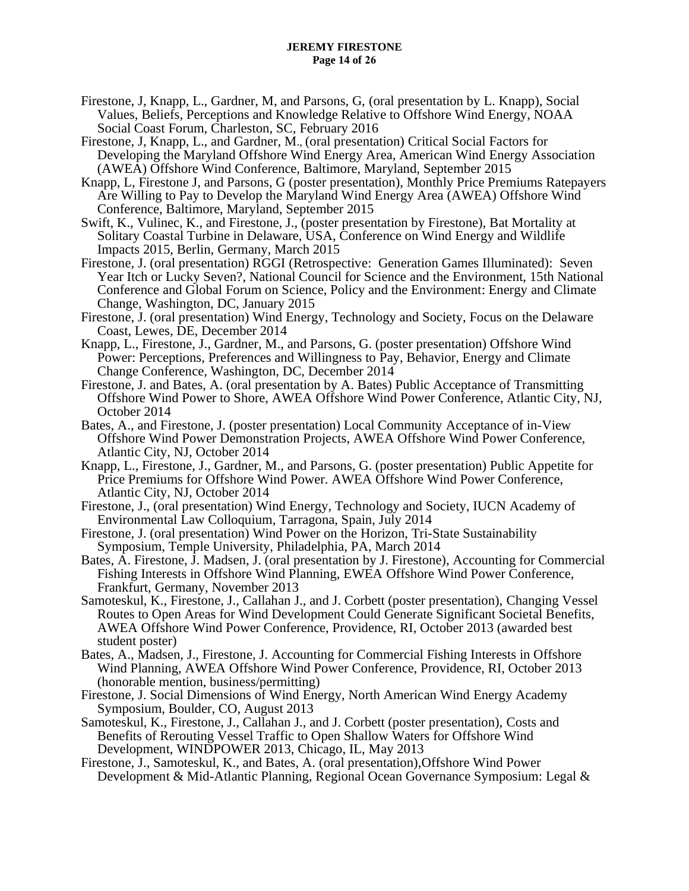#### **JEREMY FIRESTONE Page 14 of 26**

- Firestone, J, Knapp, L., Gardner, M, and Parsons, G, (oral presentation by L. Knapp), Social Values, Beliefs, Perceptions and Knowledge Relative to Offshore Wind Energy, NOAA Social Coast Forum, Charleston, SC, February 2016
- Firestone, J, Knapp, L., and Gardner, M., (oral presentation) Critical Social Factors for Developing the Maryland Offshore Wind Energy Area, American Wind Energy Association (AWEA) Offshore Wind Conference, Baltimore, Maryland, September 2015
- Knapp, L, Firestone J, and Parsons, G (poster presentation), Monthly Price Premiums Ratepayers Are Willing to Pay to Develop the Maryland Wind Energy Area (AWEA) Offshore Wind Conference, Baltimore, Maryland, September 2015
- Swift, K., Vulinec, K., and Firestone, J., (poster presentation by Firestone), Bat Mortality at Solitary Coastal Turbine in Delaware, USA, Conference on Wind Energy and Wildlife Impacts 2015, Berlin, Germany, March 2015
- Firestone, J. (oral presentation) RGGI (Retrospective: Generation Games Illuminated): Seven Year Itch or Lucky Seven?, National Council for Science and the Environment, 15th National Conference and Global Forum on Science, Policy and the Environment: Energy and Climate Change, Washington, DC, January 2015
- Firestone, J. (oral presentation) Wind Energy, Technology and Society, Focus on the Delaware Coast, Lewes, DE, December 2014
- Knapp, L., Firestone, J., Gardner, M., and Parsons, G. (poster presentation) Offshore Wind Power: Perceptions, Preferences and Willingness to Pay, Behavior, Energy and Climate Change Conference, Washington, DC, December 2014
- Firestone, J. and Bates, A. (oral presentation by A. Bates) Public Acceptance of Transmitting Offshore Wind Power to Shore, AWEA Offshore Wind Power Conference, Atlantic City, NJ, October 2014
- Bates, A., and Firestone, J. (poster presentation) Local Community Acceptance of in-View Offshore Wind Power Demonstration Projects, AWEA Offshore Wind Power Conference, Atlantic City, NJ, October 2014
- Knapp, L., Firestone, J., Gardner, M., and Parsons, G. (poster presentation) Public Appetite for Price Premiums for Offshore Wind Power. AWEA Offshore Wind Power Conference, Atlantic City, NJ, October 2014
- Firestone, J., (oral presentation) Wind Energy, Technology and Society, IUCN Academy of Environmental Law Colloquium, Tarragona, Spain, July 2014
- Firestone, J. (oral presentation) Wind Power on the Horizon, Tri-State Sustainability Symposium, Temple University, Philadelphia, PA, March 2014
- Bates, A. Firestone, J. Madsen, J. (oral presentation by J. Firestone), Accounting for Commercial Fishing Interests in Offshore Wind Planning, EWEA Offshore Wind Power Conference, Frankfurt, Germany, November 2013
- Samoteskul, K., Firestone, J., Callahan J., and J. Corbett (poster presentation), Changing Vessel Routes to Open Areas for Wind Development Could Generate Significant Societal Benefits, AWEA Offshore Wind Power Conference, Providence, RI, October 2013 (awarded best student poster)
- Bates, A., Madsen, J., Firestone, J. Accounting for Commercial Fishing Interests in Offshore Wind Planning, AWEA Offshore Wind Power Conference, Providence, RI, October 2013 (honorable mention, business/permitting)
- Firestone, J. Social Dimensions of Wind Energy, North American Wind Energy Academy Symposium, Boulder, CO, August 2013
- Samoteskul, K., Firestone, J., Callahan J., and J. Corbett (poster presentation), Costs and Benefits of Rerouting Vessel Traffic to Open Shallow Waters for Offshore Wind Development, WINDPOWER 2013, Chicago, IL, May 2013
- Firestone, J., Samoteskul, K., and Bates, A. (oral presentation),Offshore Wind Power Development & Mid-Atlantic Planning, Regional Ocean Governance Symposium: Legal &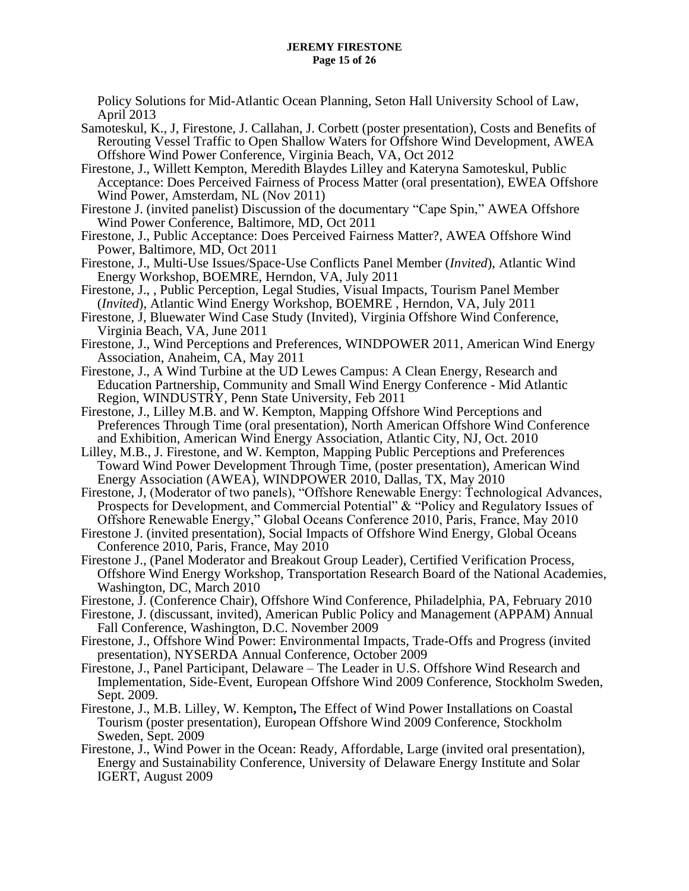Policy Solutions for Mid-Atlantic Ocean Planning, Seton Hall University School of Law, April 2013

- Samoteskul, K., J, Firestone, J. Callahan, J. Corbett (poster presentation), Costs and Benefits of Rerouting Vessel Traffic to Open Shallow Waters for Offshore Wind Development, AWEA Offshore Wind Power Conference, Virginia Beach, VA, Oct 2012
- Firestone, J., Willett Kempton, Meredith Blaydes Lilley and Kateryna Samoteskul, Public Acceptance: Does Perceived Fairness of Process Matter (oral presentation), EWEA Offshore Wind Power, Amsterdam, NL (Nov 2011)
- Firestone J. (invited panelist) Discussion of the documentary "Cape Spin," AWEA Offshore Wind Power Conference, Baltimore, MD, Oct 2011
- Firestone, J., Public Acceptance: Does Perceived Fairness Matter?, AWEA Offshore Wind Power, Baltimore, MD, Oct 2011
- Firestone, J., Multi-Use Issues/Space-Use Conflicts Panel Member (*Invited*), Atlantic Wind Energy Workshop, BOEMRE, Herndon, VA, July 2011
- Firestone, J., , Public Perception, Legal Studies, Visual Impacts, Tourism Panel Member (*Invited*), Atlantic Wind Energy Workshop, BOEMRE , Herndon, VA, July 2011
- Firestone, J, Bluewater Wind Case Study (Invited), Virginia Offshore Wind Conference, Virginia Beach, VA, June 2011
- Firestone, J., Wind Perceptions and Preferences, WINDPOWER 2011, American Wind Energy Association, Anaheim, CA, May 2011
- Firestone, J., A Wind Turbine at the UD Lewes Campus: A Clean Energy, Research and Education Partnership, Community and Small Wind Energy Conference - Mid Atlantic Region, WINDUSTRY, Penn State University, Feb 2011
- Firestone, J., Lilley M.B. and W. Kempton, Mapping Offshore Wind Perceptions and Preferences Through Time (oral presentation), North American Offshore Wind Conference and Exhibition, American Wind Energy Association, Atlantic City, NJ, Oct. 2010
- Lilley, M.B., J. Firestone, and W. Kempton, Mapping Public Perceptions and Preferences Toward Wind Power Development Through Time, (poster presentation), American Wind Energy Association (AWEA), WINDPOWER 2010, Dallas, TX, May 2010
- Firestone, J, (Moderator of two panels), "Offshore Renewable Energy: Technological Advances, Prospects for Development, and Commercial Potential" & "Policy and Regulatory Issues of Offshore Renewable Energy," Global Oceans Conference 2010, Paris, France, May 2010
- Firestone J. (invited presentation), Social Impacts of Offshore Wind Energy, Global Oceans Conference 2010, Paris, France, May 2010
- Firestone J., (Panel Moderator and Breakout Group Leader), Certified Verification Process, Offshore Wind Energy Workshop, Transportation Research Board of the National Academies, Washington, DC, March 2010
- Firestone, J. (Conference Chair), Offshore Wind Conference, Philadelphia, PA, February 2010
- Firestone, J. (discussant, invited), American Public Policy and Management (APPAM) Annual Fall Conference, Washington, D.C. November 2009
- Firestone, J., Offshore Wind Power: Environmental Impacts, Trade-Offs and Progress (invited presentation), NYSERDA Annual Conference, October 2009
- Firestone, J., Panel Participant, Delaware The Leader in U.S. Offshore Wind Research and Implementation, Side-Event, European Offshore Wind 2009 Conference, Stockholm Sweden, Sept. 2009.
- Firestone, J., M.B. Lilley, W. Kempton**,** The Effect of Wind Power Installations on Coastal Tourism (poster presentation), European Offshore Wind 2009 Conference, Stockholm Sweden, Sept. 2009
- Firestone, J., Wind Power in the Ocean: Ready, Affordable, Large (invited oral presentation), Energy and Sustainability Conference, University of Delaware Energy Institute and Solar IGERT, August 2009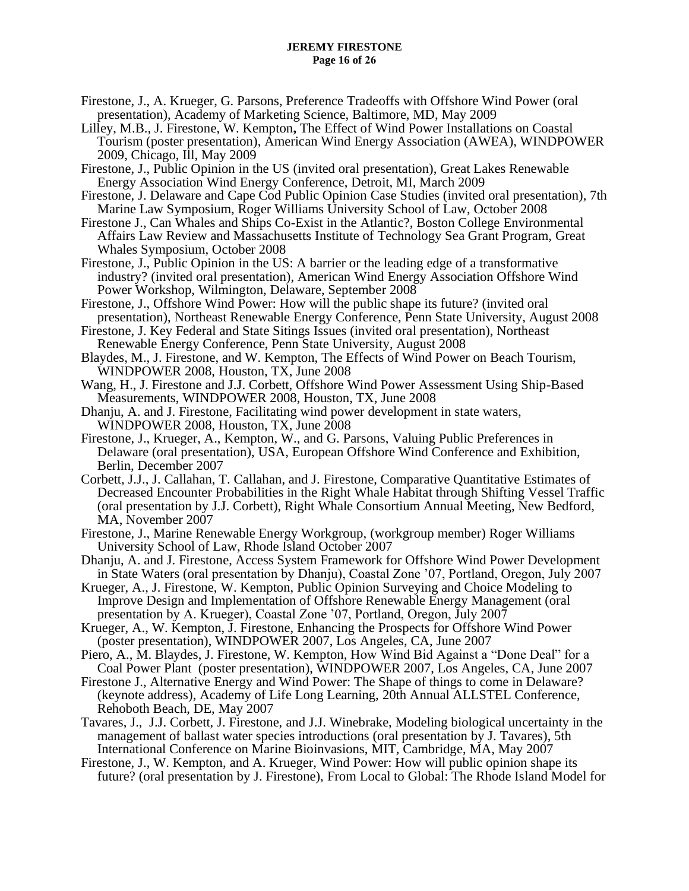#### **JEREMY FIRESTONE Page 16 of 26**

- Firestone, J., A. Krueger, G. Parsons, Preference Tradeoffs with Offshore Wind Power (oral presentation), Academy of Marketing Science, Baltimore, MD, May 2009
- Lilley, M.B., J. Firestone, W. Kempton**,** The Effect of Wind Power Installations on Coastal Tourism (poster presentation), American Wind Energy Association (AWEA), WINDPOWER 2009, Chicago, Ill, May 2009
- Firestone, J., Public Opinion in the US (invited oral presentation), Great Lakes Renewable Energy Association Wind Energy Conference, Detroit, MI, March 2009
- Firestone, J. Delaware and Cape Cod Public Opinion Case Studies (invited oral presentation), 7th Marine Law Symposium, Roger Williams University School of Law, October 2008
- Firestone J., Can Whales and Ships Co-Exist in the Atlantic?, Boston College Environmental Affairs Law Review and Massachusetts Institute of Technology Sea Grant Program, Great Whales Symposium, October 2008
- Firestone, J., Public Opinion in the US: A barrier or the leading edge of a transformative industry? (invited oral presentation), American Wind Energy Association Offshore Wind Power Workshop, Wilmington, Delaware, September 2008
- Firestone, J., Offshore Wind Power: How will the public shape its future? (invited oral presentation), Northeast Renewable Energy Conference, Penn State University, August 2008
- Firestone, J. Key Federal and State Sitings Issues (invited oral presentation), Northeast Renewable Energy Conference, Penn State University, August 2008
- Blaydes, M., J. Firestone, and W. Kempton, The Effects of Wind Power on Beach Tourism, WINDPOWER 2008, Houston, TX, June 2008
- Wang, H., J. Firestone and J.J. Corbett, Offshore Wind Power Assessment Using Ship-Based Measurements, WINDPOWER 2008, Houston, TX, June 2008
- Dhanju, A. and J. Firestone, Facilitating wind power development in state waters, WINDPOWER 2008, Houston, TX, June 2008
- Firestone, J., Krueger, A., Kempton, W., and G. Parsons, Valuing Public Preferences in Delaware (oral presentation), USA, European Offshore Wind Conference and Exhibition, Berlin, December 2007
- Corbett, J.J., J. Callahan, T. Callahan, and J. Firestone, Comparative Quantitative Estimates of Decreased Encounter Probabilities in the Right Whale Habitat through Shifting Vessel Traffic (oral presentation by J.J. Corbett), Right Whale Consortium Annual Meeting, New Bedford, MA, November 2007
- Firestone, J., Marine Renewable Energy Workgroup, (workgroup member) Roger Williams University School of Law, Rhode Island October 2007
- Dhanju, A. and J. Firestone, Access System Framework for Offshore Wind Power Development in State Waters (oral presentation by Dhanju), Coastal Zone '07, Portland, Oregon, July 2007
- Krueger, A., J. Firestone, W. Kempton, Public Opinion Surveying and Choice Modeling to Improve Design and Implementation of Offshore Renewable Energy Management (oral presentation by A. Krueger), Coastal Zone '07, Portland, Oregon, July 2007
- Krueger, A., W. Kempton, J. Firestone, Enhancing the Prospects for Offshore Wind Power (poster presentation), WINDPOWER 2007, Los Angeles, CA, June 2007
- Piero, A., M. Blaydes, J. Firestone, W. Kempton, How Wind Bid Against a "Done Deal" for a Coal Power Plant (poster presentation), WINDPOWER 2007, Los Angeles, CA, June 2007
- Firestone J., Alternative Energy and Wind Power: The Shape of things to come in Delaware? (keynote address), Academy of Life Long Learning, 20th Annual ALLSTEL Conference, Rehoboth Beach, DE, May 2007
- Tavares, J., J.J. Corbett, J. Firestone, and J.J. Winebrake, Modeling biological uncertainty in the management of ballast water species introductions (oral presentation by J. Tavares), 5th International Conference on Marine Bioinvasions, MIT, Cambridge, MA, May 2007
- Firestone, J., W. Kempton, and A. Krueger, Wind Power: How will public opinion shape its future? (oral presentation by J. Firestone), From Local to Global: The Rhode Island Model for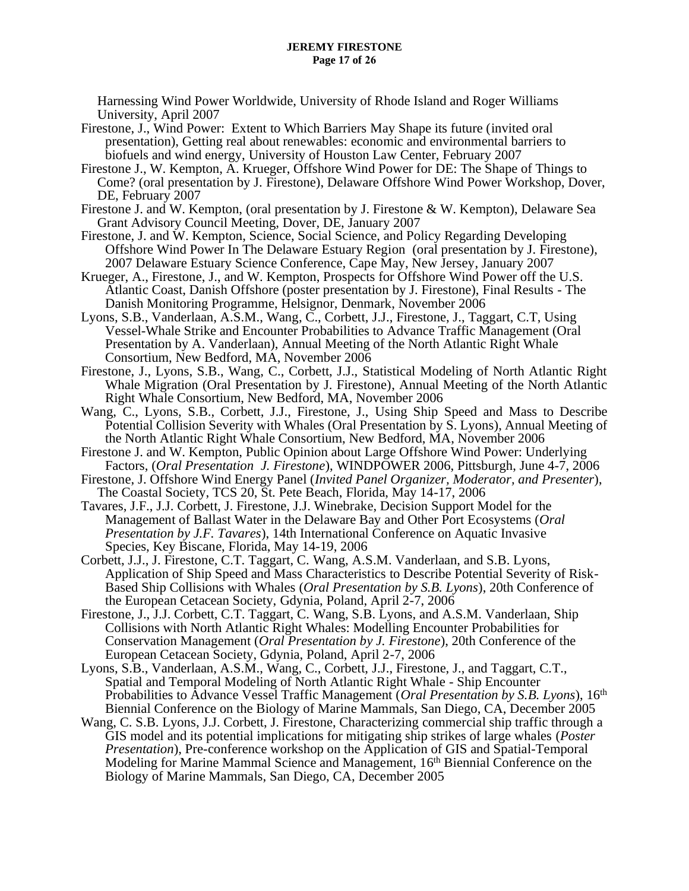Harnessing Wind Power Worldwide, University of Rhode Island and Roger Williams University, April 2007

- Firestone, J., Wind Power: Extent to Which Barriers May Shape its future (invited oral presentation), Getting real about renewables: economic and environmental barriers to biofuels and wind energy, University of Houston Law Center, February 2007
- Firestone J., W. Kempton, A. Krueger, Offshore Wind Power for DE: The Shape of Things to Come? (oral presentation by J. Firestone), Delaware Offshore Wind Power Workshop, Dover, DE, February 2007
- Firestone J. and W. Kempton, (oral presentation by J. Firestone & W. Kempton), Delaware Sea Grant Advisory Council Meeting, Dover, DE, January 2007
- Firestone, J. and W. Kempton, Science, Social Science, and Policy Regarding Developing Offshore Wind Power In The Delaware Estuary Region (oral presentation by J. Firestone), 2007 Delaware Estuary Science Conference, Cape May, New Jersey, January 2007
- Krueger, A., Firestone, J., and W. Kempton, Prospects for Offshore Wind Power off the U.S. Atlantic Coast, Danish Offshore (poster presentation by J. Firestone), Final Results - The Danish Monitoring Programme, Helsignor, Denmark, November 2006
- Lyons, S.B., Vanderlaan, A.S.M., Wang, C., Corbett, J.J., Firestone, J., Taggart, C.T, Using Vessel-Whale Strike and Encounter Probabilities to Advance Traffic Management (Oral Presentation by A. Vanderlaan), Annual Meeting of the North Atlantic Right Whale Consortium, New Bedford, MA, November 2006
- Firestone, J., Lyons, S.B., Wang, C., Corbett, J.J., Statistical Modeling of North Atlantic Right Whale Migration (Oral Presentation by J. Firestone), Annual Meeting of the North Atlantic Right Whale Consortium, New Bedford, MA, November 2006
- Wang, C., Lyons, S.B., Corbett, J.J., Firestone, J., Using Ship Speed and Mass to Describe Potential Collision Severity with Whales (Oral Presentation by S. Lyons), Annual Meeting of the North Atlantic Right Whale Consortium, New Bedford, MA, November 2006
- Firestone J. and W. Kempton, Public Opinion about Large Offshore Wind Power: Underlying Factors, (*Oral Presentation J. Firestone*), WINDPOWER 2006, Pittsburgh, June 4-7, 2006
- Firestone, J. Offshore Wind Energy Panel (*Invited Panel Organizer, Moderator, and Presenter*), The Coastal Society, TCS 20, St. Pete Beach, Florida, May 14-17, 2006
- Tavares, J.F., J.J. Corbett, J. Firestone, J.J. Winebrake, Decision Support Model for the Management of Ballast Water in the Delaware Bay and Other Port Ecosystems (*Oral Presentation by J.F. Tavares*), 14th International Conference on Aquatic Invasive Species, Key Biscane, Florida, May 14-19, 2006
- Corbett, J.J., J. Firestone, C.T. Taggart, C. Wang, A.S.M. Vanderlaan, and S.B. Lyons, Application of Ship Speed and Mass Characteristics to Describe Potential Severity of Risk-Based Ship Collisions with Whales (*Oral Presentation by S.B. Lyons*), 20th Conference of the European Cetacean Society, Gdynia, Poland, April 2-7, 2006
- Firestone, J., J.J. Corbett, C.T. Taggart, C. Wang, S.B. Lyons, and A.S.M. Vanderlaan, Ship Collisions with North Atlantic Right Whales: Modelling Encounter Probabilities for Conservation Management (*Oral Presentation by J. Firestone*), 20th Conference of the European Cetacean Society, Gdynia, Poland, April 2-7, 2006
- Lyons, S.B., Vanderlaan, A.S.M., Wang, C., Corbett, J.J., Firestone, J., and Taggart, C.T., Spatial and Temporal Modeling of North Atlantic Right Whale - Ship Encounter Probabilities to Advance Vessel Traffic Management (*Oral Presentation by S.B. Lyons*), 16th Biennial Conference on the Biology of Marine Mammals, San Diego, CA, December 2005
- Wang, C. S.B. Lyons, J.J. Corbett, J. Firestone, Characterizing commercial ship traffic through a GIS model and its potential implications for mitigating ship strikes of large whales (*Poster Presentation*), Pre-conference workshop on the Application of GIS and Spatial-Temporal Modeling for Marine Mammal Science and Management, 16<sup>th</sup> Biennial Conference on the Biology of Marine Mammals, San Diego, CA, December 2005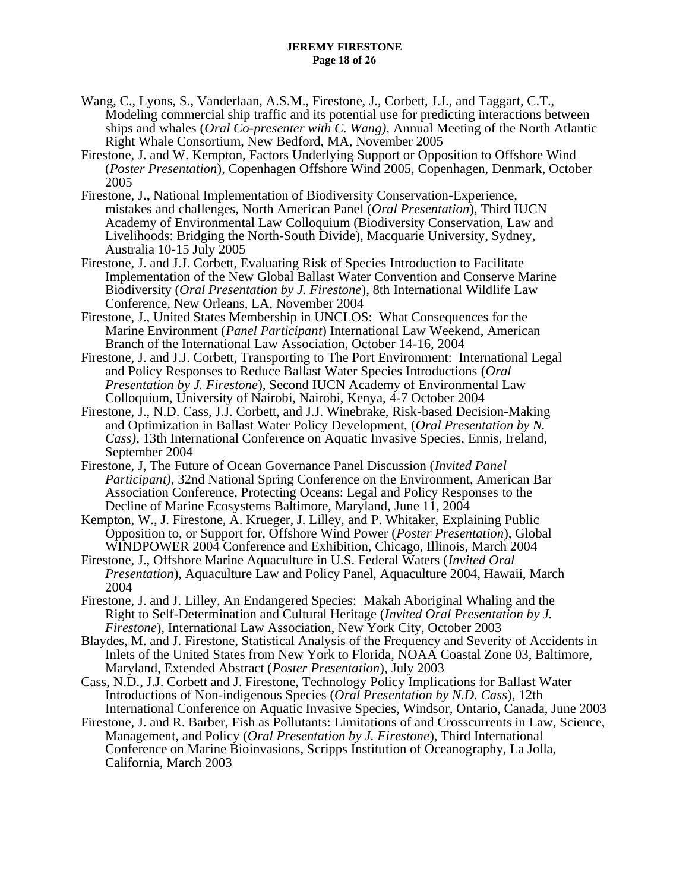- Wang, C., Lyons, S., Vanderlaan, A.S.M., Firestone, J., Corbett, J.J., and Taggart, C.T., Modeling commercial ship traffic and its potential use for predicting interactions between ships and whales (*Oral Co-presenter with C. Wang)*, Annual Meeting of the North Atlantic Right Whale Consortium, New Bedford, MA, November 2005
- Firestone, J. and W. Kempton, Factors Underlying Support or Opposition to Offshore Wind (*Poster Presentation*), Copenhagen Offshore Wind 2005, Copenhagen, Denmark, October 2005
- Firestone, J**.,** National Implementation of Biodiversity Conservation-Experience, mistakes and challenges, North American Panel (*Oral Presentation*), Third IUCN Academy of Environmental Law Colloquium (Biodiversity Conservation, Law and Livelihoods: Bridging the North-South Divide), Macquarie University, Sydney, Australia 10-15 July 2005
- Firestone, J. and J.J. Corbett, Evaluating Risk of Species Introduction to Facilitate Implementation of the New Global Ballast Water Convention and Conserve Marine Biodiversity (*Oral Presentation by J. Firestone*), 8th International Wildlife Law Conference, New Orleans, LA, November 2004
- Firestone, J., United States Membership in UNCLOS: What Consequences for the Marine Environment (*Panel Participant*) International Law Weekend, American Branch of the International Law Association, October 14-16, 2004
- Firestone, J. and J.J. Corbett, Transporting to The Port Environment: International Legal and Policy Responses to Reduce Ballast Water Species Introductions (*Oral Presentation by J. Firestone*), Second IUCN Academy of Environmental Law Colloquium, University of Nairobi, Nairobi, Kenya, 4-7 October 2004
- Firestone, J., N.D. Cass, J.J. Corbett, and J.J. Winebrake, Risk-based Decision-Making and Optimization in Ballast Water Policy Development, (*Oral Presentation by N. Cass)*, 13th International Conference on Aquatic Invasive Species, Ennis, Ireland, September 2004
- Firestone, J, The Future of Ocean Governance Panel Discussion (*Invited Panel Participant)*, 32nd National Spring Conference on the Environment, American Bar Association Conference, Protecting Oceans: Legal and Policy Responses to the Decline of Marine Ecosystems Baltimore, Maryland, June 11, 2004
- Kempton, W., J. Firestone, A. Krueger, J. Lilley, and P. Whitaker, Explaining Public Opposition to, or Support for, Offshore Wind Power (*Poster Presentation*), Global WINDPOWER 2004 Conference and Exhibition, Chicago, Illinois, March 2004
- Firestone, J., Offshore Marine Aquaculture in U.S. Federal Waters (*Invited Oral Presentation*), Aquaculture Law and Policy Panel, Aquaculture 2004, Hawaii, March 2004
- Firestone, J. and J. Lilley, An Endangered Species: Makah Aboriginal Whaling and the Right to Self-Determination and Cultural Heritage (*Invited Oral Presentation by J. Firestone*), International Law Association, New York City, October 2003
- Blaydes, M. and J. Firestone, Statistical Analysis of the Frequency and Severity of Accidents in Inlets of the United States from New York to Florida, NOAA Coastal Zone 03, Baltimore, Maryland, Extended Abstract (*Poster Presentation*), July 2003
- Cass, N.D., J.J. Corbett and J. Firestone, Technology Policy Implications for Ballast Water Introductions of Non-indigenous Species (*Oral Presentation by N.D. Cass*), 12th International Conference on Aquatic Invasive Species, Windsor, Ontario, Canada, June 2003
- Firestone, J. and R. Barber, Fish as Pollutants: Limitations of and Crosscurrents in Law, Science, Management, and Policy (*Oral Presentation by J. Firestone*), Third International Conference on Marine Bioinvasions, Scripps Institution of Oceanography, La Jolla, California, March 2003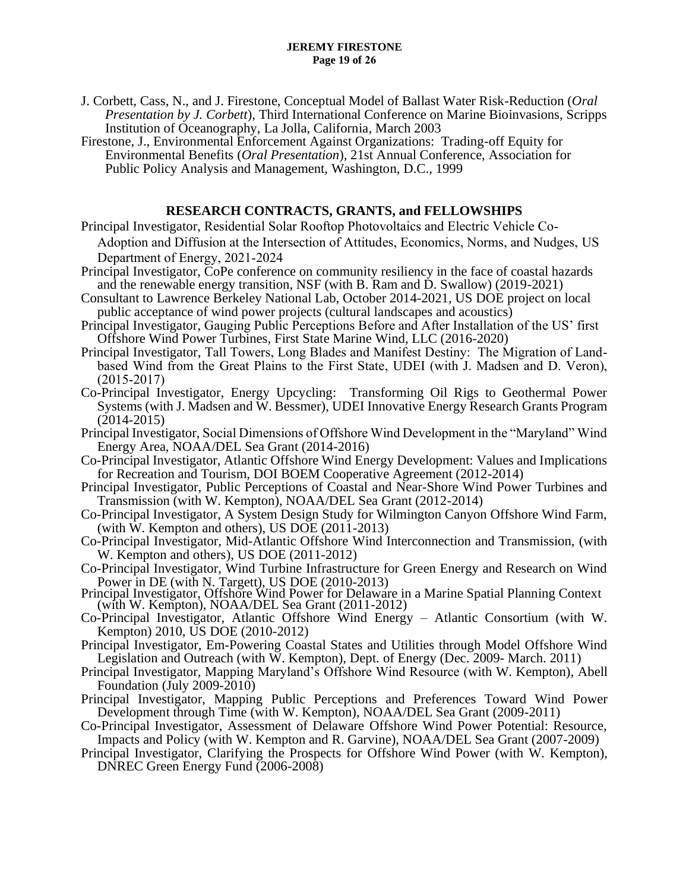- J. Corbett, Cass, N., and J. Firestone, Conceptual Model of Ballast Water Risk-Reduction (*Oral Presentation by J. Corbett*), Third International Conference on Marine Bioinvasions, Scripps Institution of Oceanography, La Jolla, California, March 2003
- Firestone, J., Environmental Enforcement Against Organizations: Trading-off Equity for Environmental Benefits (*Oral Presentation*), 21st Annual Conference, Association for Public Policy Analysis and Management, Washington, D.C., 1999

## **RESEARCH CONTRACTS, GRANTS, and FELLOWSHIPS**

- Principal Investigator, Residential Solar Rooftop Photovoltaics and Electric Vehicle Co-Adoption and Diffusion at the Intersection of Attitudes, Economics, Norms, and Nudges, US Department of Energy, 2021-2024
- Principal Investigator, CoPe conference on community resiliency in the face of coastal hazards and the renewable energy transition, NSF (with B. Ram and D. Swallow) (2019-2021)
- Consultant to Lawrence Berkeley National Lab, October 2014-2021, US DOE project on local public acceptance of wind power projects (cultural landscapes and acoustics)
- Principal Investigator, Gauging Public Perceptions Before and After Installation of the US' first Offshore Wind Power Turbines, First State Marine Wind, LLC (2016-2020)
- Principal Investigator, Tall Towers, Long Blades and Manifest Destiny: The Migration of Landbased Wind from the Great Plains to the First State, UDEI (with J. Madsen and D. Veron), (2015-2017)
- Co-Principal Investigator, Energy Upcycling: Transforming Oil Rigs to Geothermal Power Systems (with J. Madsen and W. Bessmer), UDEI Innovative Energy Research Grants Program (2014-2015)
- Principal Investigator, Social Dimensions of Offshore Wind Development in the "Maryland" Wind Energy Area, NOAA/DEL Sea Grant (2014-2016)
- Co-Principal Investigator, Atlantic Offshore Wind Energy Development: Values and Implications for Recreation and Tourism, DOI BOEM Cooperative Agreement (2012-2014)
- Principal Investigator, Public Perceptions of Coastal and Near-Shore Wind Power Turbines and Transmission (with W. Kempton), NOAA/DEL Sea Grant (2012-2014)
- Co-Principal Investigator, A System Design Study for Wilmington Canyon Offshore Wind Farm, (with W. Kempton and others), US DOE (2011-2013)
- Co-Principal Investigator, Mid-Atlantic Offshore Wind Interconnection and Transmission, (with W. Kempton and others), US DOE (2011-2012)
- Co-Principal Investigator, Wind Turbine Infrastructure for Green Energy and Research on Wind Power in DE (with N. Targett), US DOE (2010-2013)
- Principal Investigator, Offshore Wind Power for Delaware in a Marine Spatial Planning Context (with W. Kempton), NOAA/DEL Sea Grant (2011-2012)
- Co-Principal Investigator, Atlantic Offshore Wind Energy Atlantic Consortium (with W. Kempton) 2010, US DOE (2010-2012)
- Principal Investigator, Em-Powering Coastal States and Utilities through Model Offshore Wind Legislation and Outreach (with W. Kempton), Dept. of Energy (Dec. 2009- March. 2011)
- Principal Investigator, Mapping Maryland's Offshore Wind Resource (with W. Kempton), Abell Foundation (July 2009-2010)
- Principal Investigator, Mapping Public Perceptions and Preferences Toward Wind Power Development through Time (with W. Kempton), NOAA/DEL Sea Grant (2009-2011)
- Co-Principal Investigator, Assessment of Delaware Offshore Wind Power Potential: Resource, Impacts and Policy (with W. Kempton and R. Garvine), NOAA/DEL Sea Grant (2007-2009)
- Principal Investigator, Clarifying the Prospects for Offshore Wind Power (with W. Kempton), DNREC Green Energy Fund (2006-2008)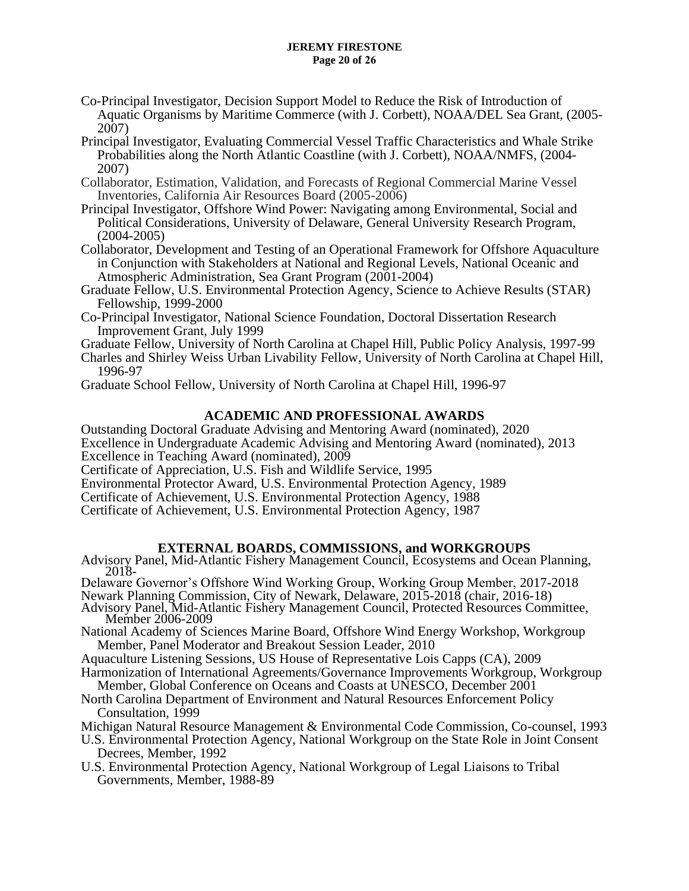#### **JEREMY FIRESTONE Page 20 of 26**

- Co-Principal Investigator, Decision Support Model to Reduce the Risk of Introduction of Aquatic Organisms by Maritime Commerce (with J. Corbett), NOAA/DEL Sea Grant, (2005- 2007)
- Principal Investigator, Evaluating Commercial Vessel Traffic Characteristics and Whale Strike Probabilities along the North Atlantic Coastline (with J. Corbett), NOAA/NMFS, (2004- 2007)
- Collaborator, Estimation, Validation, and Forecasts of Regional Commercial Marine Vessel Inventories, California Air Resources Board (2005-2006)
- Principal Investigator, Offshore Wind Power: Navigating among Environmental, Social and Political Considerations, University of Delaware, General University Research Program, (2004-2005)
- Collaborator, Development and Testing of an Operational Framework for Offshore Aquaculture in Conjunction with Stakeholders at National and Regional Levels, National Oceanic and Atmospheric Administration, Sea Grant Program (2001-2004)
- Graduate Fellow, U.S. Environmental Protection Agency, Science to Achieve Results (STAR) Fellowship, 1999-2000
- Co-Principal Investigator, National Science Foundation, Doctoral Dissertation Research Improvement Grant, July 1999
- Graduate Fellow, University of North Carolina at Chapel Hill, Public Policy Analysis, 1997-99
- Charles and Shirley Weiss Urban Livability Fellow, University of North Carolina at Chapel Hill, 1996-97
- Graduate School Fellow, University of North Carolina at Chapel Hill, 1996-97

# **ACADEMIC AND PROFESSIONAL AWARDS**

Outstanding Doctoral Graduate Advising and Mentoring Award (nominated), 2020 Excellence in Undergraduate Academic Advising and Mentoring Award (nominated), 2013 Excellence in Teaching Award (nominated), 2009

- Certificate of Appreciation, U.S. Fish and Wildlife Service, 1995
- Environmental Protector Award, U.S. Environmental Protection Agency, 1989
- Certificate of Achievement, U.S. Environmental Protection Agency, 1988
- Certificate of Achievement, U.S. Environmental Protection Agency, 1987

## **EXTERNAL BOARDS, COMMISSIONS, and WORKGROUPS**

- Advisory Panel, Mid-Atlantic Fishery Management Council, Ecosystems and Ocean Planning, 2018-
- Delaware Governor's Offshore Wind Working Group, Working Group Member, 2017-2018
- Newark Planning Commission, City of Newark, Delaware, 2015-2018 (chair, 2016-18) Advisory Panel, Mid-Atlantic Fishery Management Council, Protected Resources Committee, Member 2006-2009
- National Academy of Sciences Marine Board, Offshore Wind Energy Workshop, Workgroup Member, Panel Moderator and Breakout Session Leader, 2010
- Aquaculture Listening Sessions, US House of Representative Lois Capps (CA), 2009
- Harmonization of International Agreements/Governance Improvements Workgroup, Workgroup Member, Global Conference on Oceans and Coasts at UNESCO, December 2001
- North Carolina Department of Environment and Natural Resources Enforcement Policy Consultation, 1999
- Michigan Natural Resource Management & Environmental Code Commission, Co-counsel, 1993
- U.S. Environmental Protection Agency, National Workgroup on the State Role in Joint Consent Decrees, Member, 1992
- U.S. Environmental Protection Agency, National Workgroup of Legal Liaisons to Tribal Governments, Member, 1988-89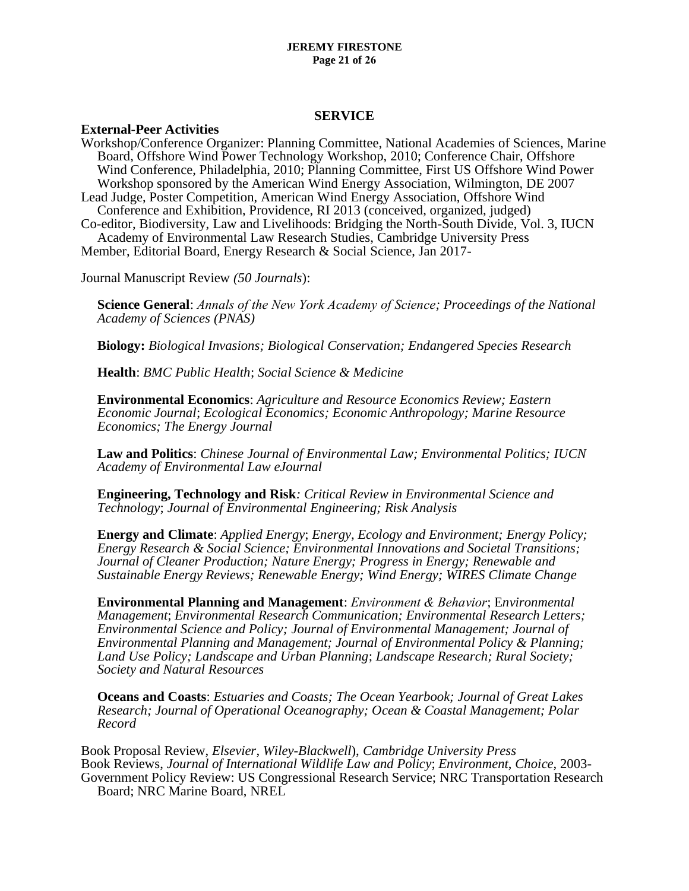#### **JEREMY FIRESTONE Page 21 of 26**

#### **SERVICE**

## **External-Peer Activities**

Workshop/Conference Organizer: Planning Committee, National Academies of Sciences, Marine Board, Offshore Wind Power Technology Workshop, 2010; Conference Chair, Offshore Wind Conference, Philadelphia, 2010; Planning Committee, First US Offshore Wind Power Workshop sponsored by the American Wind Energy Association, Wilmington, DE 2007 Lead Judge, Poster Competition, American Wind Energy Association, Offshore Wind Conference and Exhibition, Providence, RI 2013 (conceived, organized, judged) Co-editor, Biodiversity, Law and Livelihoods: Bridging the North-South Divide, Vol. 3, IUCN Academy of Environmental Law Research Studies, Cambridge University Press Member, Editorial Board, Energy Research & Social Science, Jan 2017-

Journal Manuscript Review *(50 Journals*):

**Science General**: *Annals of the New York Academy of Science; Proceedings of the National Academy of Sciences (PNAS)*

**Biology:** *Biological Invasions; Biological Conservation; Endangered Species Research*

**Health**: *BMC Public Health*; *Social Science & Medicine*

**Environmental Economics**: *Agriculture and Resource Economics Review; Eastern Economic Journal*; *Ecological Economics; Economic Anthropology; Marine Resource Economics; The Energy Journal*

**Law and Politics**: *Chinese Journal of Environmental Law; Environmental Politics; IUCN Academy of Environmental Law eJournal*

**Engineering, Technology and Risk***: Critical Review in Environmental Science and Technology*; *Journal of Environmental Engineering; Risk Analysis*

**Energy and Climate**: *Applied Energy*; *Energy, Ecology and Environment; Energy Policy; Energy Research & Social Science; Environmental Innovations and Societal Transitions; Journal of Cleaner Production; Nature Energy; Progress in Energy; Renewable and Sustainable Energy Reviews; Renewable Energy; Wind Energy; WIRES Climate Change*

**Environmental Planning and Management**: *Environment & Behavior*; E*nvironmental Management*; *Environmental Research Communication; Environmental Research Letters; Environmental Science and Policy; Journal of Environmental Management; Journal of Environmental Planning and Management; Journal of Environmental Policy & Planning; Land Use Policy; Landscape and Urban Planning*; *Landscape Research; Rural Society; Society and Natural Resources*

**Oceans and Coasts**: *Estuaries and Coasts; The Ocean Yearbook; Journal of Great Lakes Research; Journal of Operational Oceanography; Ocean & Coastal Management; Polar Record*

Book Proposal Review, *Elsevier*, *Wiley-Blackwell*), *Cambridge University Press* Book Reviews, *Journal of International Wildlife Law and Policy*; *Environment*, *Choice*, 2003- Government Policy Review: US Congressional Research Service; NRC Transportation Research Board; NRC Marine Board, NREL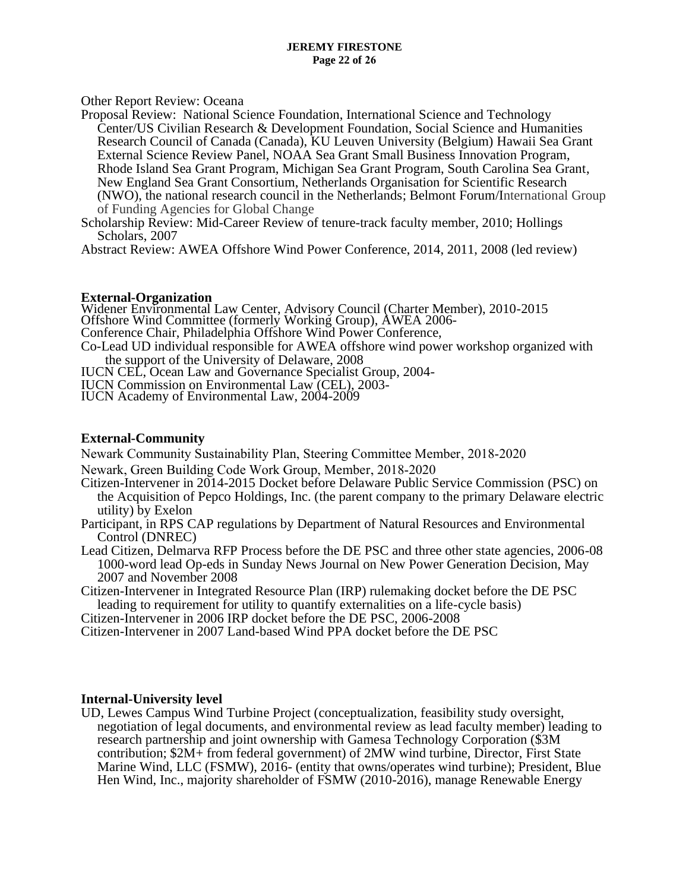Other Report Review: Oceana

Proposal Review: National Science Foundation, International Science and Technology Center/US Civilian Research & Development Foundation, Social Science and Humanities Research Council of Canada (Canada), KU Leuven University (Belgium) Hawaii Sea Grant External Science Review Panel, NOAA Sea Grant Small Business Innovation Program, Rhode Island Sea Grant Program, Michigan Sea Grant Program, South Carolina Sea Grant, New England Sea Grant Consortium, Netherlands Organisation for Scientific Research (NWO), the national research council in the Netherlands; Belmont Forum/International Group of Funding Agencies for Global Change

Scholarship Review: Mid-Career Review of tenure-track faculty member, 2010; Hollings Scholars, 2007

Abstract Review: AWEA Offshore Wind Power Conference, 2014, 2011, 2008 (led review)

## **External-Organization**

Widener Environmental Law Center, Advisory Council (Charter Member), 2010-2015 Offshore Wind Committee (formerly Working Group), AWEA 2006- Conference Chair, Philadelphia Offshore Wind Power Conference, Co-Lead UD individual responsible for AWEA offshore wind power workshop organized with the support of the University of Delaware, 2008

IUCN CEL, Ocean Law and Governance Specialist Group, 2004-

IUCN Commission on Environmental Law (CEL), 2003-

IUCN Academy of Environmental Law, 2004-2009

## **External-Community**

Newark Community Sustainability Plan, Steering Committee Member, 2018-2020

- Newark, Green Building Code Work Group, Member, 2018-2020
- Citizen-Intervener in 2014-2015 Docket before Delaware Public Service Commission (PSC) on the Acquisition of Pepco Holdings, Inc. (the parent company to the primary Delaware electric utility) by Exelon
- Participant, in RPS CAP regulations by Department of Natural Resources and Environmental Control (DNREC)
- Lead Citizen, Delmarva RFP Process before the DE PSC and three other state agencies, 2006-08 1000-word lead Op-eds in Sunday News Journal on New Power Generation Decision, May 2007 and November 2008

Citizen-Intervener in Integrated Resource Plan (IRP) rulemaking docket before the DE PSC leading to requirement for utility to quantify externalities on a life-cycle basis)

Citizen-Intervener in 2006 IRP docket before the DE PSC, 2006-2008

Citizen-Intervener in 2007 Land-based Wind PPA docket before the DE PSC

## **Internal-University level**

UD, Lewes Campus Wind Turbine Project (conceptualization, feasibility study oversight, negotiation of legal documents, and environmental review as lead faculty member) leading to research partnership and joint ownership with Gamesa Technology Corporation (\$3M contribution; \$2M+ from federal government) of 2MW wind turbine, Director, First State Marine Wind, LLC (FSMW), 2016- (entity that owns/operates wind turbine); President, Blue Hen Wind, Inc., majority shareholder of FSMW (2010-2016), manage Renewable Energy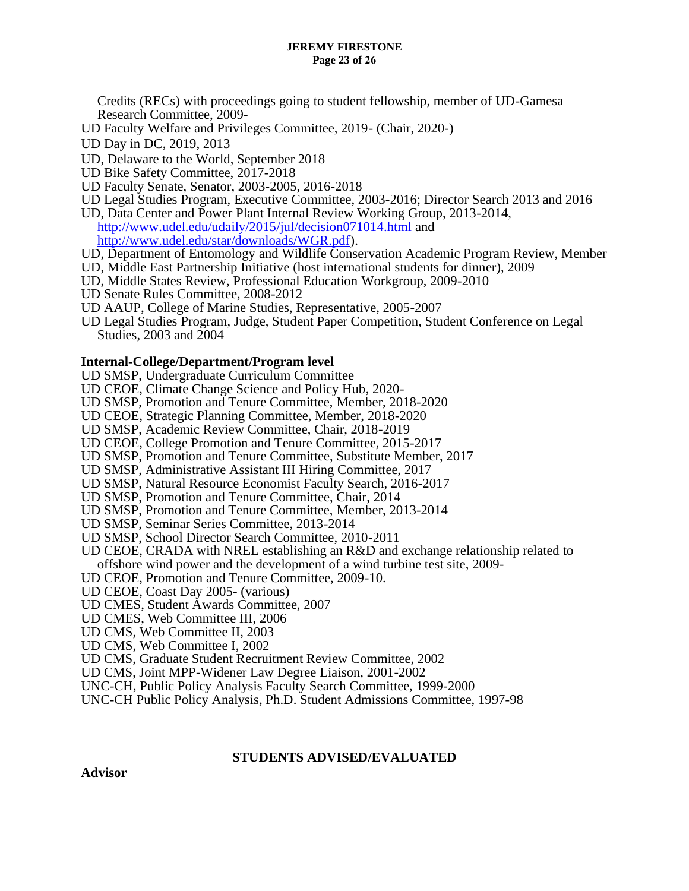#### **JEREMY FIRESTONE Page 23 of 26**

Credits (RECs) with proceedings going to student fellowship, member of UD-Gamesa Research Committee, 2009-

- UD Faculty Welfare and Privileges Committee, 2019- (Chair, 2020-)
- UD Day in DC, 2019, 2013
- UD, Delaware to the World, September 2018
- UD Bike Safety Committee, 2017-2018
- UD Faculty Senate, Senator, 2003-2005, 2016-2018
- UD Legal Studies Program, Executive Committee, 2003-2016; Director Search 2013 and 2016
- UD, Data Center and Power Plant Internal Review Working Group, 2013-2014, <http://www.udel.edu/udaily/2015/jul/decision071014.html> and

[http://www.udel.edu/star/downloads/WGR.pdf\)](http://www.udel.edu/star/downloads/WGR.pdf).

- UD, Department of Entomology and Wildlife Conservation Academic Program Review, Member
- UD, Middle East Partnership Initiative (host international students for dinner), 2009
- UD, Middle States Review, Professional Education Workgroup, 2009-2010
- UD Senate Rules Committee, 2008-2012
- UD AAUP, College of Marine Studies, Representative, 2005-2007
- UD Legal Studies Program, Judge, Student Paper Competition, Student Conference on Legal Studies, 2003 and 2004

#### **Internal-College/Department/Program level**

- UD SMSP, Undergraduate Curriculum Committee
- UD CEOE, Climate Change Science and Policy Hub, 2020-
- UD SMSP, Promotion and Tenure Committee, Member, 2018-2020
- UD CEOE, Strategic Planning Committee, Member, 2018-2020
- UD SMSP, Academic Review Committee, Chair, 2018-2019
- UD CEOE, College Promotion and Tenure Committee, 2015-2017
- UD SMSP, Promotion and Tenure Committee, Substitute Member, 2017
- UD SMSP, Administrative Assistant III Hiring Committee, 2017
- UD SMSP, Natural Resource Economist Faculty Search, 2016-2017
- UD SMSP, Promotion and Tenure Committee, Chair, 2014
- UD SMSP, Promotion and Tenure Committee, Member, 2013-2014
- UD SMSP, Seminar Series Committee, 2013-2014
- UD SMSP, School Director Search Committee, 2010-2011
- UD CEOE, CRADA with NREL establishing an R&D and exchange relationship related to offshore wind power and the development of a wind turbine test site, 2009-
- UD CEOE, Promotion and Tenure Committee, 2009-10.
- UD CEOE, Coast Day 2005- (various)
- UD CMES, Student Awards Committee, 2007
- UD CMES, Web Committee III, 2006
- UD CMS, Web Committee II, 2003
- UD CMS, Web Committee I, 2002
- UD CMS, Graduate Student Recruitment Review Committee, 2002
- UD CMS, Joint MPP-Widener Law Degree Liaison, 2001-2002
- UNC-CH, Public Policy Analysis Faculty Search Committee, 1999-2000
- UNC-CH Public Policy Analysis, Ph.D. Student Admissions Committee, 1997-98

#### **STUDENTS ADVISED/EVALUATED**

**Advisor**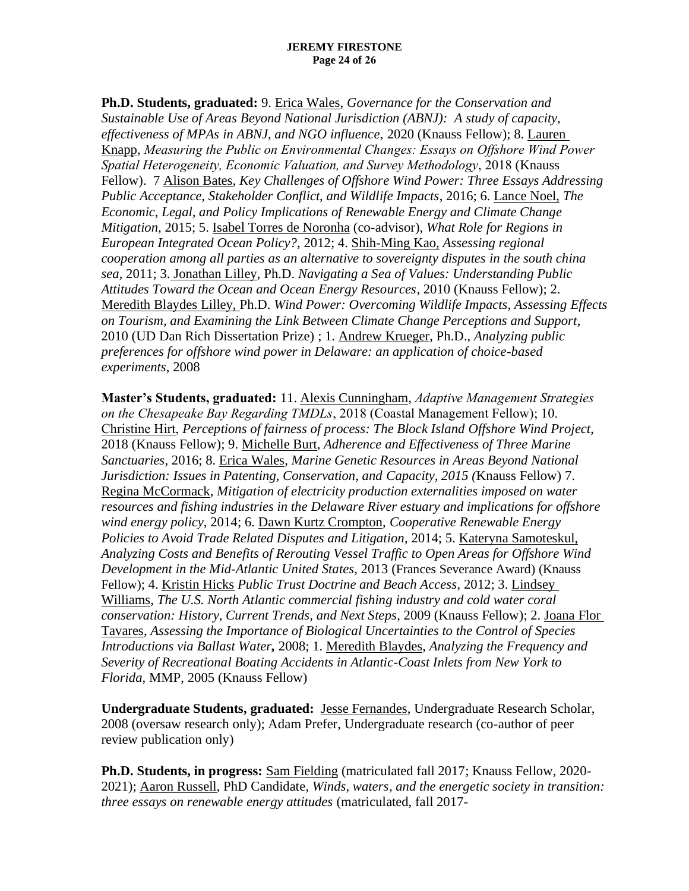**Ph.D. Students, graduated:** 9. Erica Wales, *Governance for the Conservation and Sustainable Use of Areas Beyond National Jurisdiction (ABNJ): A study of capacity, effectiveness of MPAs in ABNJ, and NGO influence*, 2020 (Knauss Fellow); 8. Lauren Knapp, *Measuring the Public on Environmental Changes: Essays on Offshore Wind Power Spatial Heterogeneity, Economic Valuation, and Survey Methodology*, 2018 (Knauss Fellow). 7 Alison Bates, *Key Challenges of Offshore Wind Power: Three Essays Addressing Public Acceptance, Stakeholder Conflict, and Wildlife Impacts*, 2016; 6. Lance Noel, *The Economic, Legal, and Policy Implications of Renewable Energy and Climate Change Mitigation*, 2015; 5. Isabel Torres de Noronha (co-advisor), *What Role for Regions in European Integrated Ocean Policy?*, 2012; 4. Shih-Ming Kao, *Assessing regional cooperation among all parties as an alternative to sovereignty disputes in the south china sea*, 2011; 3. Jonathan Lilley, Ph.D. *Navigating a Sea of Values: Understanding Public Attitudes Toward the Ocean and Ocean Energy Resources*, 2010 (Knauss Fellow); 2. Meredith Blaydes Lilley, Ph.D. *Wind Power: Overcoming Wildlife Impacts, Assessing Effects on Tourism, and Examining the Link Between Climate Change Perceptions and Support*, 2010 (UD Dan Rich Dissertation Prize) ; 1. Andrew Krueger, Ph.D., *Analyzing public preferences for offshore wind power in Delaware: an application of choice-based experiments*, 2008

**Master's Students, graduated:** 11. Alexis Cunningham, *Adaptive Management Strategies on the Chesapeake Bay Regarding TMDLs*, 2018 (Coastal Management Fellow); 10. Christine Hirt, *Perceptions of fairness of process: The Block Island Offshore Wind Project*, 2018 (Knauss Fellow); 9. Michelle Burt, *Adherence and Effectiveness of Three Marine Sanctuaries*, 2016; 8. Erica Wales, *Marine Genetic Resources in Areas Beyond National Jurisdiction: Issues in Patenting, Conservation, and Capacity, 2015 (*Knauss Fellow) 7. Regina McCormack, *Mitigation of electricity production externalities imposed on water resources and fishing industries in the Delaware River estuary and implications for offshore wind energy policy*, 2014; 6. Dawn Kurtz Crompton, *Cooperative Renewable Energy Policies to Avoid Trade Related Disputes and Litigation*, 2014; 5. Kateryna Samoteskul, *Analyzing Costs and Benefits of Rerouting Vessel Traffic to Open Areas for Offshore Wind Development in the Mid-Atlantic United States,* 2013 (Frances Severance Award) (Knauss Fellow); 4. Kristin Hicks *Public Trust Doctrine and Beach Access*, 2012; 3. Lindsey Williams, *The U.S. North Atlantic commercial fishing industry and cold water coral conservation: History, Current Trends, and Next Steps*, 2009 (Knauss Fellow); 2. Joana Flor Tavares, *Assessing the Importance of Biological Uncertainties to the Control of Species Introductions via Ballast Water,* 2008; 1. Meredith Blaydes, *Analyzing the Frequency and Severity of Recreational Boating Accidents in Atlantic-Coast Inlets from New York to Florida*, MMP, 2005 (Knauss Fellow)

**Undergraduate Students, graduated:** Jesse Fernandes, Undergraduate Research Scholar, 2008 (oversaw research only); Adam Prefer, Undergraduate research (co-author of peer review publication only)

**Ph.D. Students, in progress:** Sam Fielding (matriculated fall 2017; Knauss Fellow, 2020- 2021); Aaron Russell, PhD Candidate, *Winds, waters, and the energetic society in transition: three essays on renewable energy attitudes* (matriculated, fall 2017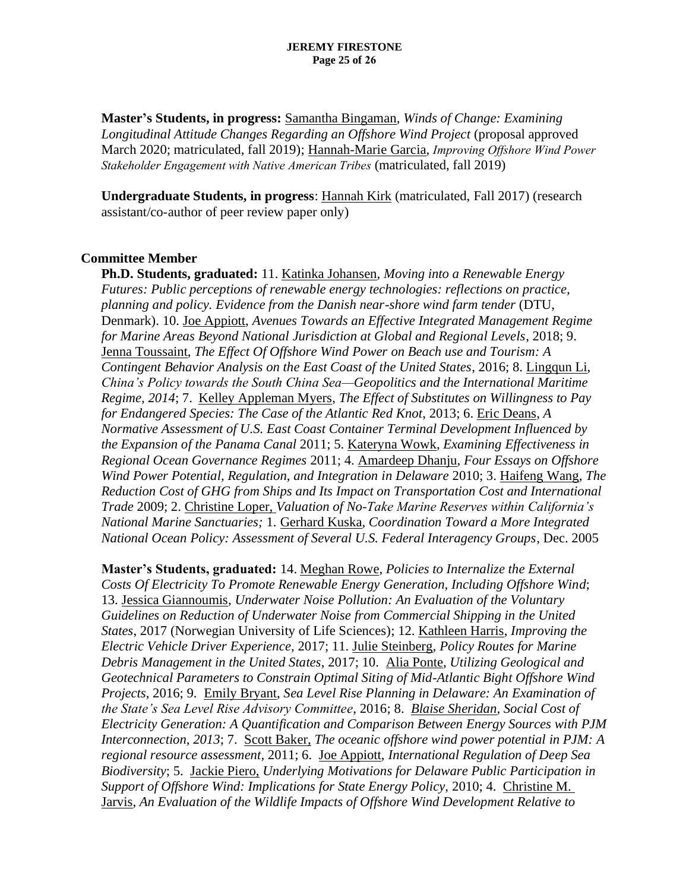**Master's Students, in progress:** Samantha Bingaman, *Winds of Change: Examining Longitudinal Attitude Changes Regarding an Offshore Wind Project* (proposal approved March 2020; matriculated, fall 2019); Hannah-Marie Garcia, *Improving Offshore Wind Power Stakeholder Engagement with Native American Tribes* (matriculated, fall 2019)

**Undergraduate Students, in progress**: Hannah Kirk (matriculated, Fall 2017) (research assistant/co-author of peer review paper only)

### **Committee Member**

**Ph.D. Students, graduated:** 11. Katinka Johansen, *Moving into a Renewable Energy Futures: Public perceptions of renewable energy technologies: reflections on practice, planning and policy. Evidence from the Danish near-shore wind farm tender* (DTU, Denmark). 10. Joe Appiott, *Avenues Towards an Effective Integrated Management Regime for Marine Areas Beyond National Jurisdiction at Global and Regional Levels*, 2018; 9. Jenna Toussaint, *The Effect Of Offshore Wind Power on Beach use and Tourism: A Contingent Behavior Analysis on the East Coast of the United States*, 2016; 8. Lingqun Li, *China's Policy towards the South China Sea—Geopolitics and the International Maritime Regime, 2014*; 7. Kelley Appleman Myers, *The Effect of Substitutes on Willingness to Pay for Endangered Species: The Case of the Atlantic Red Knot*, 2013; 6. Eric Deans, *A Normative Assessment of U.S. East Coast Container Terminal Development Influenced by the Expansion of the Panama Canal* 2011; 5. Kateryna Wowk, *Examining Effectiveness in Regional Ocean Governance Regimes* 2011; 4. Amardeep Dhanju, *Four Essays on Offshore Wind Power Potential, Regulation, and Integration in Delaware* 2010; 3. Haifeng Wang, *The Reduction Cost of GHG from Ships and Its Impact on Transportation Cost and International Trade* 2009; 2. Christine Loper, *Valuation of No-Take Marine Reserves within California's National Marine Sanctuaries;* 1. Gerhard Kuska, *Coordination Toward a More Integrated National Ocean Policy: Assessment of Several U.S. Federal Interagency Groups*, Dec. 2005

**Master's Students, graduated:** 14. Meghan Rowe, *Policies to Internalize the External Costs Of Electricity To Promote Renewable Energy Generation, Including Offshore Wind*; 13. Jessica Giannoumis, *Underwater Noise Pollution: An Evaluation of the Voluntary Guidelines on Reduction of Underwater Noise from Commercial Shipping in the United States*, 2017 (Norwegian University of Life Sciences); 12. Kathleen Harris, *Improving the Electric Vehicle Driver Experience*, 2017; 11. Julie Steinberg, *Policy Routes for Marine Debris Management in the United States*, 2017; 10. Alia Ponte, *Utilizing Geological and Geotechnical Parameters to Constrain Optimal Siting of Mid-Atlantic Bight Offshore Wind Projects*, 2016; 9. Emily Bryant, *Sea Level Rise Planning in Delaware: An Examination of the State's Sea Level Rise Advisory Committee*, 2016; 8. *Blaise Sheridan, Social Cost of Electricity Generation: A Quantification and Comparison Between Energy Sources with PJM Interconnection, 2013*; 7. Scott Baker, *The oceanic offshore wind power potential in PJM: A regional resource assessment*, 2011; 6. Joe Appiott, *International Regulation of Deep Sea Biodiversity*; 5. Jackie Piero, *Underlying Motivations for Delaware Public Participation in Support of Offshore Wind: Implications for State Energy Policy,* 2010; 4. Christine M. Jarvis, *An Evaluation of the Wildlife Impacts of Offshore Wind Development Relative to*